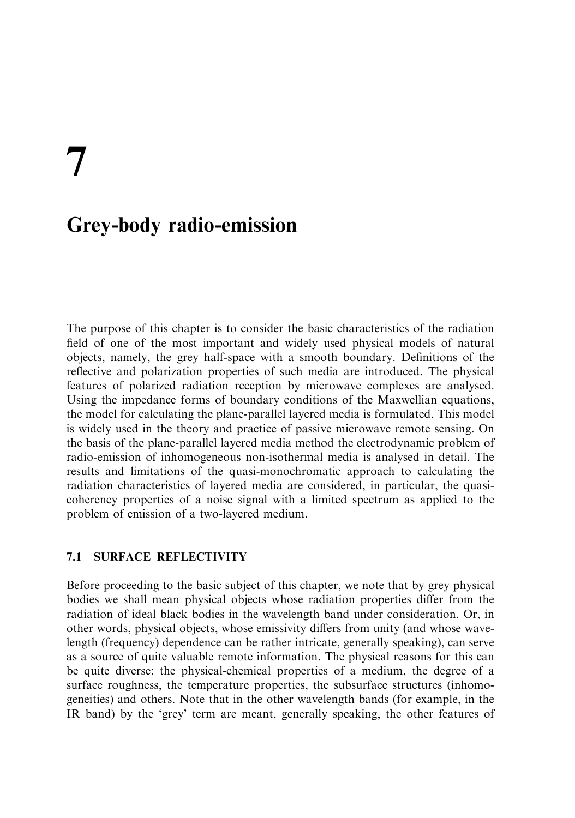# **Grey-body radio-emission**

The purpose of this chapter is to consider the basic characteristics of the radiation field of one of the most important and widely used physical models of natural objects, namely, the grey half-space with a smooth boundary. Definitions of the reflective and polarization properties of such media are introduced. The physical features of polarized radiation reception by microwave complexes are analysed. Using the impedance forms of boundary conditions of the Maxwellian equations. the model for calculating the plane-parallel layered media is formulated. This model is widely used in the theory and practice of passive microwave remote sensing. On the basis of the plane-parallel lavered media method the electrodynamic problem of radio-emission of inhomogeneous non-isothermal media is analysed in detail. The results and limitations of the quasi-monochromatic approach to calculating the radiation characteristics of layered media are considered, in particular, the quasicoherency properties of a noise signal with a limited spectrum as applied to the problem of emission of a two-layered medium.

## **71 SURFACE REFLECTIVITY**

Before proceeding to the basic subject of this chapter, we note that by grey physical bodies we shall mean physical objects whose radiation properties differ from the radiation of ideal black bodies in the wavelength band under consideration. Or, in other words, physical objects, whose emissivity differs from unity (and whose wavelength (frequency) dependence can be rather intricate, generally speaking), can serve as a source of quite valuable remote information. The physical reasons for this can be quite diverse: the physical-chemical properties of a medium, the degree of a surface roughness, the temperature properties, the subsurface structures (inhomogenetities) and others. Note that in the other wavelength bands (for example, in the IR band) by the 'grey' term are meant, generally speaking, the other features of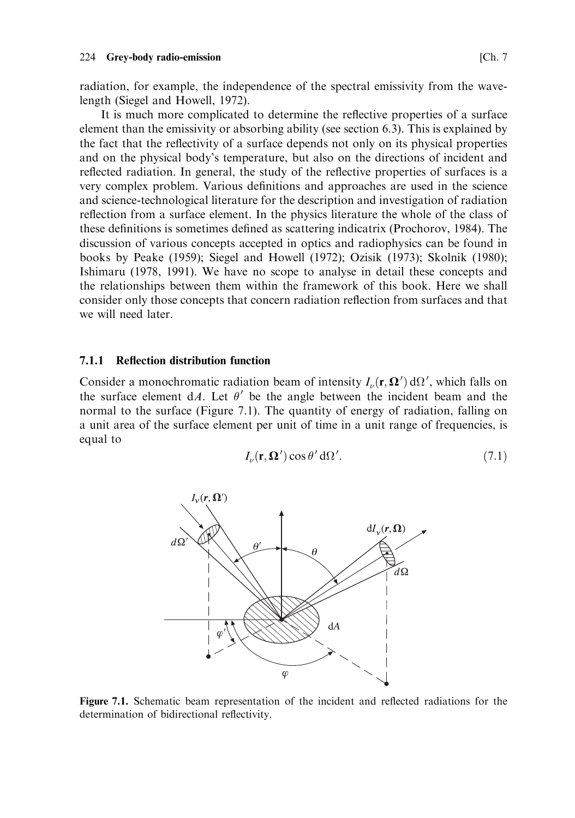radiation, for example, the independence of the spectral emissivity from the wavelength (Siegel and Howell, 1972).

It is much more complicated to determine the reflective properties of a surface element than the emissivity or absorbing ability (see section 6.3). This is explained by the fact that the reflectivity of a surface depends not only on its physical properties and on the physical body's temperature, but also on the directions of incident and reflected radiation. In general, the study of the reflective properties of surfaces is a very complex problem. Various definitions and approaches are used in the science and science-technological literature for the description and investigation of radiation reflection from a surface element. In the physics literature the whole of the class of these definitions is sometimes defined as scattering indicatrix (Prochorov, 1984). The discussion of various concepts accepted in optics and radiophysics can be found in books by Peake (1959); Siegel and Howell (1972); Ozisik (1973); Skolnik (1980); Ishimaru (1978, 1991). We have no scope to analyse in detail these concepts and the relationships between them within the framework of this book. Here we shall consider only those concepts that concern radiation reflection from surfaces and that we will need later.

#### $7.1.1$ **Reflection distribution function**

Consider a monochromatic radiation beam of intensity  $I_{\nu}(\mathbf{r}, \mathbf{\Omega}') d\Omega'$ , which falls on the surface element dA. Let  $\theta'$  be the angle between the incident beam and the normal to the surface (Figure 7.1). The quantity of energy of radiation, falling on a unit area of the surface element per unit of time in a unit range of frequencies, is equal to

$$
I_{\nu}(\mathbf{r}, \mathbf{\Omega}') \cos \theta' \, d\Omega'. \tag{7.1}
$$



Figure 7.1. Schematic beam representation of the incident and reflected radiations for the determination of bidirectional reflectivity.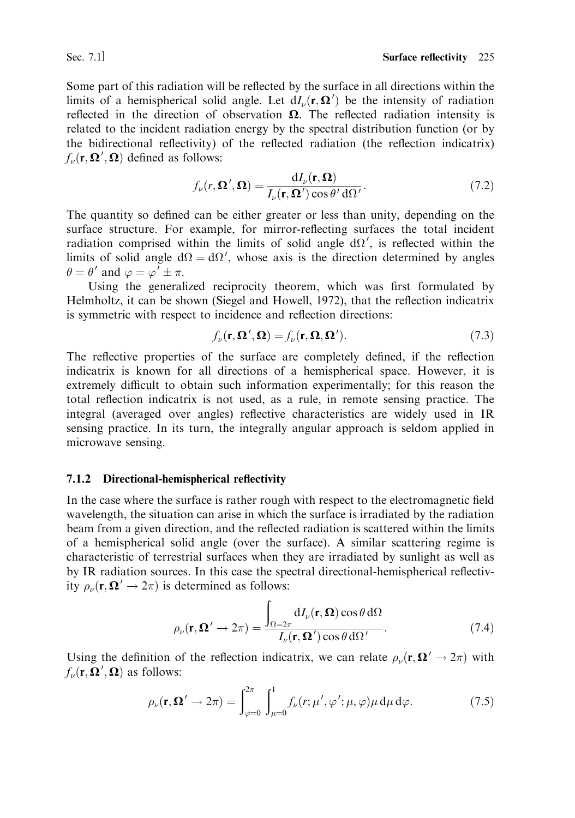Sec. 7.1]

Some part of this radiation will be reflected by the surface in all directions within the limits of a hemispherical solid angle. Let  $dL_{\nu}(\mathbf{r}, \Omega')$  be the intensity of radiation reflected in the direction of observation  $\Omega$ . The reflected radiation intensity is related to the incident radiation energy by the spectral distribution function (or by the bidirectional reflectivity) of the reflected radiation (the reflection indicatrix)  $f_{\nu}(\mathbf{r}, \mathbf{\Omega}', \mathbf{\Omega})$  defined as follows:

$$
f_{\nu}(r,\Omega',\Omega) = \frac{\mathrm{d}I_{\nu}(\mathbf{r},\Omega)}{I_{\nu}(\mathbf{r},\Omega')\cos\theta'\,\mathrm{d}\Omega'}.\tag{7.2}
$$

The quantity so defined can be either greater or less than unity, depending on the surface structure. For example, for mirror-reflecting surfaces the total incident radiation comprised within the limits of solid angle  $d\Omega'$ , is reflected within the limits of solid angle  $d\Omega = d\Omega'$ , whose axis is the direction determined by angles  $\theta = \theta'$  and  $\varphi = \varphi' \pm \pi$ .

Using the generalized reciprocity theorem, which was first formulated by Helmholtz, it can be shown (Siegel and Howell, 1972), that the reflection indicatrix is symmetric with respect to incidence and reflection directions:

$$
f_{\nu}(\mathbf{r}, \mathbf{\Omega}', \mathbf{\Omega}) = f_{\nu}(\mathbf{r}, \mathbf{\Omega}, \mathbf{\Omega}'). \tag{7.3}
$$

The reflective properties of the surface are completely defined, if the reflection indicatrix is known for all directions of a hemispherical space. However, it is extremely difficult to obtain such information experimentally: for this reason the total reflection indicatrix is not used, as a rule, in remote sensing practice. The integral (averaged over angles) reflective characteristics are widely used in IR sensing practice. In its turn, the integrally angular approach is seldom applied in microwave sensing.

## 7.1.2 Directional-hemispherical reflectivity

In the case where the surface is rather rough with respect to the electromagnetic field wavelength, the situation can arise in which the surface is irradiated by the radiation beam from a given direction, and the reflected radiation is scattered within the limits of a hemispherical solid angle (over the surface). A similar scattering regime is characteristic of terrestrial surfaces when they are irradiated by sunlight as well as by IR radiation sources. In this case the spectral directional-hemispherical reflectivity  $\rho_{\nu}(\mathbf{r}, \mathbf{\Omega}' \rightarrow 2\pi)$  is determined as follows:

$$
\rho_{\nu}(\mathbf{r}, \mathbf{\Omega}' \to 2\pi) = \frac{\int_{\Omega = 2\pi} dI_{\nu}(\mathbf{r}, \mathbf{\Omega}) \cos \theta \, d\Omega}{I_{\nu}(\mathbf{r}, \mathbf{\Omega}') \cos \theta \, d\Omega'}.
$$
(7.4)

Using the definition of the reflection indicatrix, we can relate  $\rho_{\nu}(\mathbf{r}, \mathbf{\Omega}' \to 2\pi)$  with  $f_{\nu}(\mathbf{r}, \mathbf{\Omega}', \mathbf{\Omega})$  as follows:

$$
\rho_{\nu}(\mathbf{r}, \mathbf{\Omega}' \to 2\pi) = \int_{\varphi=0}^{2\pi} \int_{\mu=0}^{1} f_{\nu}(r; \mu', \varphi'; \mu, \varphi) \mu \, \mathrm{d}\mu \, \mathrm{d}\varphi. \tag{7.5}
$$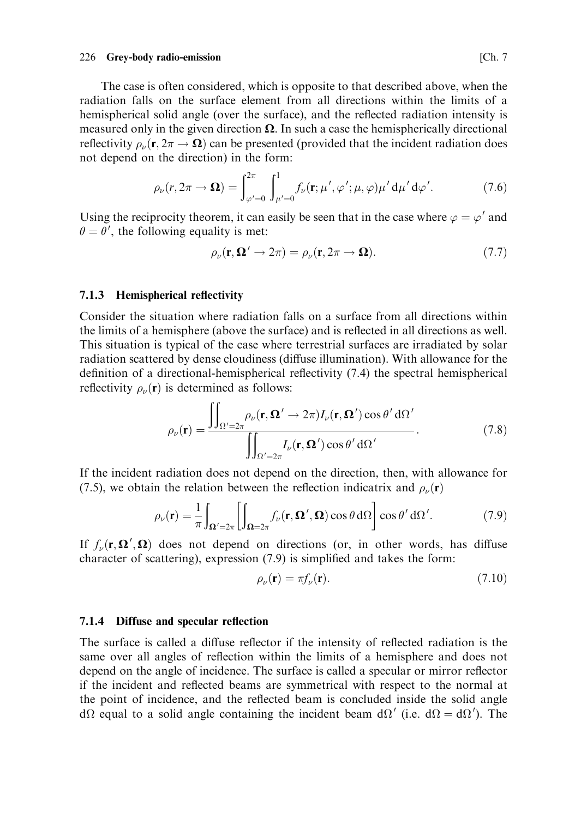### 226 Grey-body radio-emission

The case is often considered, which is opposite to that described above, when the radiation falls on the surface element from all directions within the limits of a hemispherical solid angle (over the surface), and the reflected radiation intensity is measured only in the given direction  $\Omega$ . In such a case the hemispherically directional reflectivity  $\rho_{\nu}(\mathbf{r}, 2\pi \rightarrow \Omega)$  can be presented (provided that the incident radiation does not depend on the direction) in the form:

$$
\rho_{\nu}(r, 2\pi \to \Omega) = \int_{\varphi'=0}^{2\pi} \int_{\mu'=0}^{1} f_{\nu}(\mathbf{r}; \mu', \varphi'; \mu, \varphi)\mu' d\mu' d\varphi'.
$$
 (7.6)

Using the reciprocity theorem, it can easily be seen that in the case where  $\varphi = \varphi'$  and  $\theta = \theta'$ , the following equality is met:

$$
\rho_{\nu}(\mathbf{r}, \mathbf{\Omega}' \to 2\pi) = \rho_{\nu}(\mathbf{r}, 2\pi \to \mathbf{\Omega}). \tag{7.7}
$$

## 7.1.3 Hemispherical reflectivity

Consider the situation where radiation falls on a surface from all directions within the limits of a hemisphere (above the surface) and is reflected in all directions as well. This situation is typical of the case where terrestrial surfaces are irradiated by solar radiation scattered by dense cloudiness (diffuse illumination). With allowance for the definition of a directional-hemispherical reflectivity  $(7.4)$  the spectral hemispherical reflectivity  $\rho_{\nu}(\mathbf{r})$  is determined as follows:

$$
\rho_{\nu}(\mathbf{r}) = \frac{\iint_{\Omega' = 2\pi} \rho_{\nu}(\mathbf{r}, \mathbf{\Omega}' \to 2\pi) I_{\nu}(\mathbf{r}, \mathbf{\Omega}') \cos \theta' d\Omega'}{\iint_{\Omega' = 2\pi} I_{\nu}(\mathbf{r}, \mathbf{\Omega}') \cos \theta' d\Omega'}.
$$
\n(7.8)

If the incident radiation does not depend on the direction, then, with allowance for (7.5), we obtain the relation between the reflection indicatrix and  $\rho_{\nu}(\mathbf{r})$ 

$$
\rho_{\nu}(\mathbf{r}) = \frac{1}{\pi} \int_{\Omega' = 2\pi} \left[ \int_{\Omega = 2\pi} f_{\nu}(\mathbf{r}, \Omega', \Omega) \cos \theta \, d\Omega \right] \cos \theta' d\Omega'. \tag{7.9}
$$

If  $f_{\nu}(\mathbf{r}, \mathbf{\Omega}', \mathbf{\Omega})$  does not depend on directions (or, in other words, has diffuse character of scattering), expression (7.9) is simplified and takes the form:

$$
\rho_{\nu}(\mathbf{r}) = \pi f_{\nu}(\mathbf{r}).\tag{7.10}
$$

### 7.1.4 Diffuse and specular reflection

The surface is called a diffuse reflector if the intensity of reflected radiation is the same over all angles of reflection within the limits of a hemisphere and does not depend on the angle of incidence. The surface is called a specular or mirror reflector if the incident and reflected beams are symmetrical with respect to the normal at the point of incidence, and the reflected beam is concluded inside the solid angle  $d\Omega$  equal to a solid angle containing the incident beam  $d\Omega'$  (i.e.  $d\Omega = d\Omega'$ ). The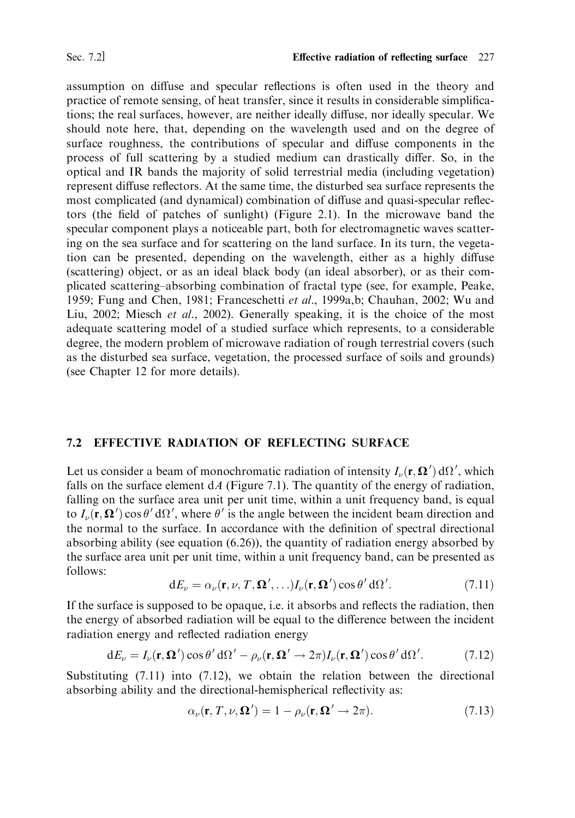assumption on diffuse and specular reflections is often used in the theory and practice of remote sensing, of heat transfer, since it results in considerable simplifications; the real surfaces, however, are neither ideally diffuse, nor ideally specular. We should note here, that, depending on the wavelength used and on the degree of surface roughness, the contributions of specular and diffuse components in the process of full scattering by a studied medium can drastically differ. So, in the optical and IR bands the majority of solid terrestrial media (including vegetation) represent diffuse reflectors. At the same time, the disturbed sea surface represents the most complicated (and dynamical) combination of diffuse and quasi-specular reflectors (the field of patches of sunlight) (Figure 2.1). In the microwave band the specular component plays a noticeable part, both for electromagnetic waves scattering on the sea surface and for scattering on the land surface. In its turn, the vegetation can be presented, depending on the wavelength, either as a highly diffuse (scattering) object, or as an ideal black body (an ideal absorber), or as their complicated scattering–absorbing combination of fractal type (see, for example, Peake, 1959; Fung and Chen, 1981; Franceschetti et al., 1999a,b; Chauhan, 2002; Wu and Liu, 2002; Miesch et al., 2002). Generally speaking, it is the choice of the most adequate scattering model of a studied surface which represents, to a considerable degree, the modern problem of microwave radiation of rough terrestrial covers (such as the disturbed sea surface, vegetation, the processed surface of soils and grounds) (see Chapter 12 for more details).

## 7.2 EFFECTIVE RADIATION OF REFLECTING SURFACE

Let us consider a beam of monochromatic radiation of intensity  $I_{\nu}(\mathbf{r}, \mathbf{\Omega}') d\Omega'$ , which falls on the surface element  $dA$  (Figure 7.1). The quantity of the energy of radiation, falling on the surface area unit per unit time, within a unit frequency band, is equal to  $I_{\nu}(\mathbf{r}, \mathbf{\Omega}') \cos \theta' d\Omega'$ , where  $\theta'$  is the angle between the incident beam direction and the normal to the surface. In accordance with the definition of spectral directional absorbing ability (see equation  $(6.26)$ ), the quantity of radiation energy absorbed by the surface area unit per unit time, within a unit frequency band, can be presented as follows:

$$
dE_{\nu} = \alpha_{\nu}(\mathbf{r}, \nu, T, \mathbf{\Omega}', \ldots) I_{\nu}(\mathbf{r}, \mathbf{\Omega}') \cos \theta' d\Omega'. \tag{7.11}
$$

If the surface is supposed to be opaque, i.e. it absorbs and reflects the radiation, then the energy of absorbed radiation will be equal to the difference between the incident radiation energy and reflected radiation energy

$$
dE_{\nu} = I_{\nu}(\mathbf{r}, \mathbf{\Omega}') \cos \theta' d\Omega' - \rho_{\nu}(\mathbf{r}, \mathbf{\Omega}' \to 2\pi) I_{\nu}(\mathbf{r}, \mathbf{\Omega}') \cos \theta' d\Omega'. \tag{7.12}
$$

Substituting  $(7.11)$  into  $(7.12)$ , we obtain the relation between the directional absorbing ability and the directional-hemispherical reflectivity as:

$$
\alpha_{\nu}(\mathbf{r}, T, \nu, \mathbf{\Omega}') = 1 - \rho_{\nu}(\mathbf{r}, \mathbf{\Omega}' \to 2\pi). \tag{7.13}
$$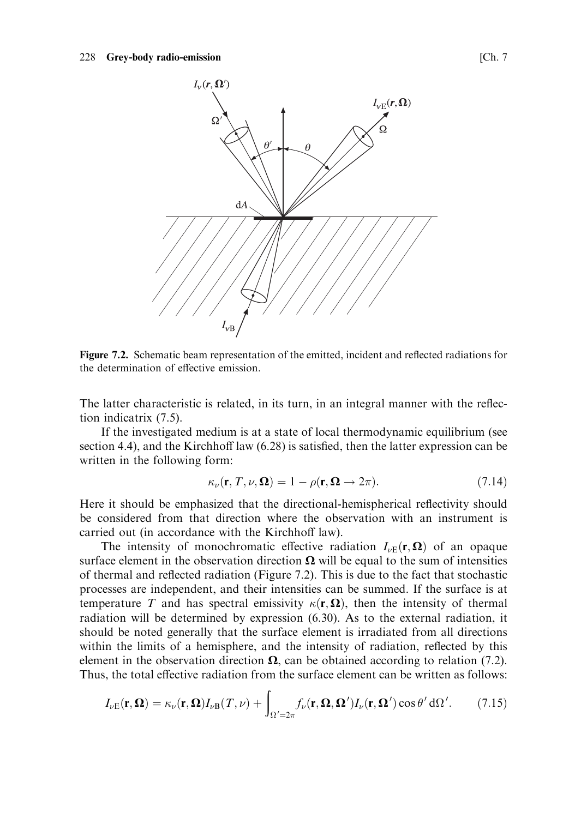

Figure 7.2. Schematic beam representation of the emitted, incident and reflected radiations for the determination of effective emission.

The latter characteristic is related, in its turn, in an integral manner with the reflection indicatrix  $(7.5)$ .

If the investigated medium is at a state of local thermodynamic equilibrium (see section 4.4), and the Kirchhoff law (6.28) is satisfied, then the latter expression can be written in the following form:

$$
\kappa_{\nu}(\mathbf{r}, T, \nu, \Omega) = 1 - \rho(\mathbf{r}, \Omega \to 2\pi). \tag{7.14}
$$

Here it should be emphasized that the directional-hemispherical reflectivity should be considered from that direction where the observation with an instrument is carried out (in accordance with the Kirchhoff law).

The intensity of monochromatic effective radiation  $I_{\nu E}(\mathbf{r}, \Omega)$  of an opaque surface element in the observation direction  $\Omega$  will be equal to the sum of intensities of thermal and reflected radiation (Figure 7.2). This is due to the fact that stochastic processes are independent, and their intensities can be summed. If the surface is at temperature T and has spectral emissivity  $\kappa(\mathbf{r}, \mathbf{\Omega})$ , then the intensity of thermal radiation will be determined by expression (6.30). As to the external radiation, it should be noted generally that the surface element is irradiated from all directions within the limits of a hemisphere, and the intensity of radiation, reflected by this element in the observation direction  $\Omega$ , can be obtained according to relation (7.2). Thus, the total effective radiation from the surface element can be written as follows:

$$
I_{\nu E}(\mathbf{r}, \mathbf{\Omega}) = \kappa_{\nu}(\mathbf{r}, \mathbf{\Omega}) I_{\nu B}(T, \nu) + \int_{\Omega' = 2\pi} f_{\nu}(\mathbf{r}, \mathbf{\Omega}, \mathbf{\Omega}') I_{\nu}(\mathbf{r}, \mathbf{\Omega}') \cos \theta' d\Omega'. \tag{7.15}
$$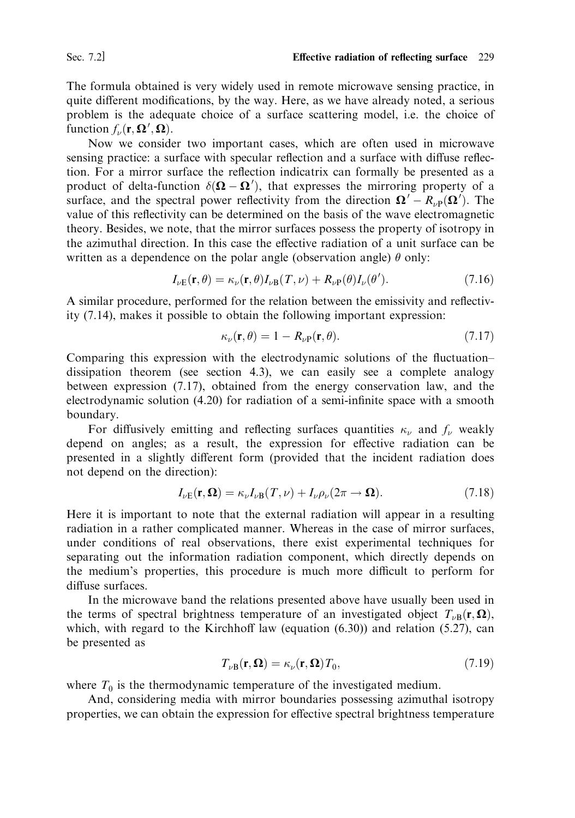Sec. 7.2]

The formula obtained is very widely used in remote microwave sensing practice, in quite different modifications, by the way. Here, as we have already noted, a serious problem is the adequate choice of a surface scattering model, i.e. the choice of function  $f_{\nu}(\mathbf{r}, \mathbf{\Omega}', \mathbf{\Omega})$ .

Now we consider two important cases, which are often used in microwave sensing practice: a surface with specular reflection and a surface with diffuse reflection. For a mirror surface the reflection indicatrix can formally be presented as a product of delta-function  $\delta(\mathbf{\Omega}-\mathbf{\Omega}')$ , that expresses the mirroring property of a surface, and the spectral power reflectivity from the direction  $\Omega' - R_{\nu}(\Omega')$ . The value of this reflectivity can be determined on the basis of the wave electromagnetic theory. Besides, we note, that the mirror surfaces possess the property of isotropy in the azimuthal direction. In this case the effective radiation of a unit surface can be written as a dependence on the polar angle (observation angle)  $\theta$  only:

$$
I_{\nu E}(\mathbf{r}, \theta) = \kappa_{\nu}(\mathbf{r}, \theta) I_{\nu B}(T, \nu) + R_{\nu P}(\theta) I_{\nu}(\theta'). \tag{7.16}
$$

A similar procedure, performed for the relation between the emissivity and reflectivity (7.14), makes it possible to obtain the following important expression:

$$
\kappa_{\nu}(\mathbf{r}, \theta) = 1 - R_{\nu}(\mathbf{r}, \theta). \tag{7.17}
$$

Comparing this expression with the electrodynamic solutions of the fluctuationdissipation theorem (see section 4.3), we can easily see a complete analogy between expression  $(7.17)$ , obtained from the energy conservation law, and the electrodynamic solution (4.20) for radiation of a semi-infinite space with a smooth boundary.

For diffusively emitting and reflecting surfaces quantities  $\kappa_{\nu}$  and  $f_{\nu}$  weakly depend on angles; as a result, the expression for effective radiation can be presented in a slightly different form (provided that the incident radiation does not depend on the direction):

$$
I_{\nu E}(\mathbf{r}, \mathbf{\Omega}) = \kappa_{\nu} I_{\nu B}(T, \nu) + I_{\nu} \rho_{\nu} (2\pi \to \mathbf{\Omega}). \tag{7.18}
$$

Here it is important to note that the external radiation will appear in a resulting radiation in a rather complicated manner. Whereas in the case of mirror surfaces, under conditions of real observations, there exist experimental techniques for separating out the information radiation component, which directly depends on the medium's properties, this procedure is much more difficult to perform for diffuse surfaces.

In the microwave band the relations presented above have usually been used in the terms of spectral brightness temperature of an investigated object  $T_{\nu R}(\mathbf{r}, \Omega)$ , which, with regard to the Kirchhoff law (equation  $(6.30)$ ) and relation  $(5.27)$ , can be presented as

$$
T_{\nu\mathbf{B}}(\mathbf{r}, \mathbf{\Omega}) = \kappa_{\nu}(\mathbf{r}, \mathbf{\Omega}) T_0, \tag{7.19}
$$

where  $T_0$  is the thermodynamic temperature of the investigated medium.

And, considering media with mirror boundaries possessing azimuthal isotropy properties, we can obtain the expression for effective spectral brightness temperature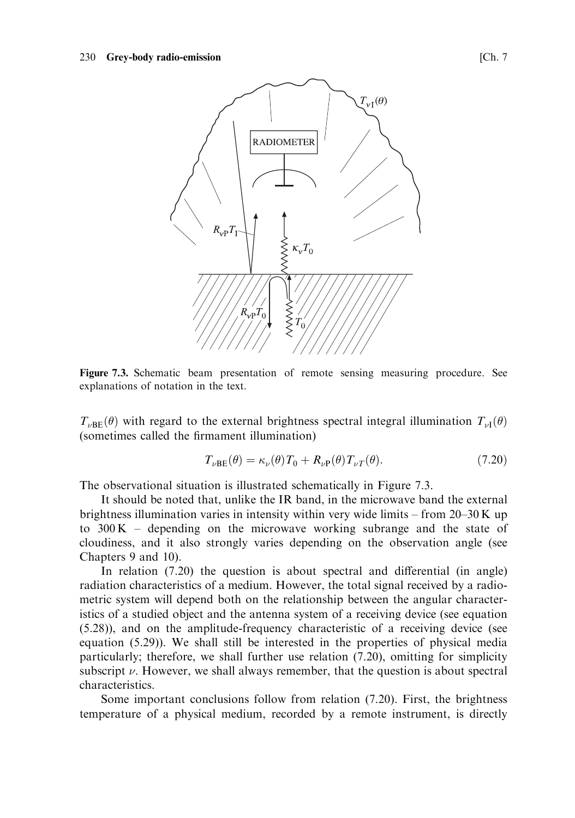

Figure 7.3. Schematic beam presentation of remote sensing measuring procedure. See explanations of notation in the text.

 $T_{\nu \text{RF}}(\theta)$  with regard to the external brightness spectral integral illumination  $T_{\nu l}(\theta)$ (sometimes called the firmament illumination)

$$
T_{\nu BE}(\theta) = \kappa_{\nu}(\theta) T_0 + R_{\nu P}(\theta) T_{\nu T}(\theta). \tag{7.20}
$$

The observational situation is illustrated schematically in Figure 7.3.

It should be noted that, unlike the IR band, in the microwave band the external brightness illumination varies in intensity within very wide limits – from  $20-30$  K up to  $300 K -$  depending on the microwave working subrange and the state of cloudiness, and it also strongly varies depending on the observation angle (see Chapters 9 and 10).

In relation  $(7.20)$  the question is about spectral and differential (in angle) radiation characteristics of a medium. However, the total signal received by a radiometric system will depend both on the relationship between the angular characteristics of a studied object and the antenna system of a receiving device (see equation (5.28)), and on the amplitude-frequency characteristic of a receiving device (see equation (5.29)). We shall still be interested in the properties of physical media particularly; therefore, we shall further use relation (7.20), omitting for simplicity subscript  $\nu$ . However, we shall always remember, that the question is about spectral characteristics.

Some important conclusions follow from relation (7.20). First, the brightness temperature of a physical medium, recorded by a remote instrument, is directly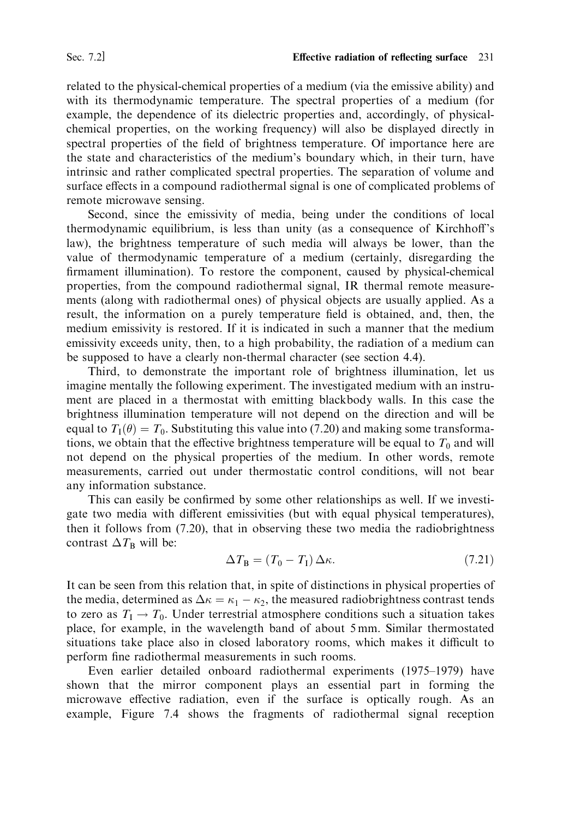related to the physical-chemical properties of a medium (via the emissive ability) and with its thermodynamic temperature. The spectral properties of a medium (for example, the dependence of its dielectric properties and, accordingly, of physicalchemical properties, on the working frequency) will also be displayed directly in spectral properties of the field of brightness temperature. Of importance here are the state and characteristics of the medium's boundary which, in their turn, have intrinsic and rather complicated spectral properties. The separation of volume and surface effects in a compound radiothermal signal is one of complicated problems of remote microwave sensing.

Second, since the emissivity of media, being under the conditions of local thermodynamic equilibrium, is less than unity (as a consequence of Kirchhoff's law), the brightness temperature of such media will always be lower, than the value of thermodynamic temperature of a medium (certainly, disregarding the firmament illumination). To restore the component, caused by physical-chemical properties, from the compound radiothermal signal, IR thermal remote measurements (along with radiothermal ones) of physical objects are usually applied. As a result, the information on a purely temperature field is obtained, and, then, the medium emissivity is restored. If it is indicated in such a manner that the medium emissivity exceeds unity, then, to a high probability, the radiation of a medium can be supposed to have a clearly non-thermal character (see section 4.4).

Third, to demonstrate the important role of brightness illumination, let us imagine mentally the following experiment. The investigated medium with an instrument are placed in a thermostat with emitting blackbody walls. In this case the brightness illumination temperature will not depend on the direction and will be equal to  $T_1(\theta) = T_0$ . Substituting this value into (7.20) and making some transformations, we obtain that the effective brightness temperature will be equal to  $T_0$  and will not depend on the physical properties of the medium. In other words, remote measurements, carried out under thermostatic control conditions, will not bear any information substance.

This can easily be confirmed by some other relationships as well. If we investigate two media with different emissivities (but with equal physical temperatures), then it follows from (7.20), that in observing these two media the radiobrightness contrast  $\Delta T_B$  will be:

$$
\Delta T_{\rm B} = (T_0 - T_{\rm I}) \,\Delta \kappa. \tag{7.21}
$$

It can be seen from this relation that, in spite of distinctions in physical properties of the media, determined as  $\Delta \kappa = \kappa_1 - \kappa_2$ , the measured radiobrightness contrast tends to zero as  $T_1 \rightarrow T_0$ . Under terrestrial atmosphere conditions such a situation takes place, for example, in the wavelength band of about 5 mm. Similar thermostated situations take place also in closed laboratory rooms, which makes it difficult to perform fine radiothermal measurements in such rooms.

Even earlier detailed onboard radiothermal experiments (1975–1979) have shown that the mirror component plays an essential part in forming the microwave effective radiation, even if the surface is optically rough. As an example, Figure 7.4 shows the fragments of radiothermal signal reception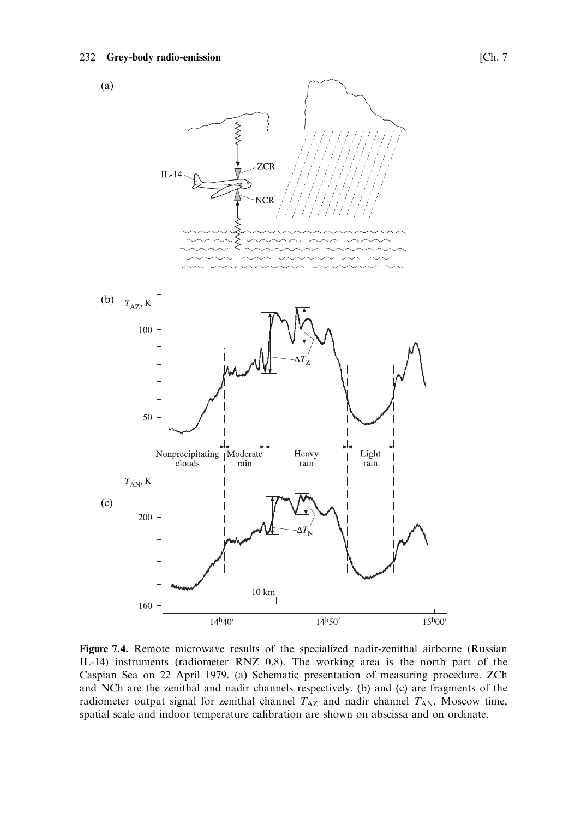

Figure 7.4. Remote microwave results of the specialized nadir-zenithal airborne (Russian IL-14) instruments (radiometer RNZ 0.8). The working area is the north part of the Caspian Sea on 22 April 1979. (a) Schematic presentation of measuring procedure. ZCh and NCh are the zenithal and nadir channels respectively. (b) and (c) are fragments of the radiometer output signal for zenithal channel  $T_{AZ}$  and nadir channel  $T_{AN}$ . Moscow time, spatial scale and indoor temperature calibration are shown on abscissa and on ordinate.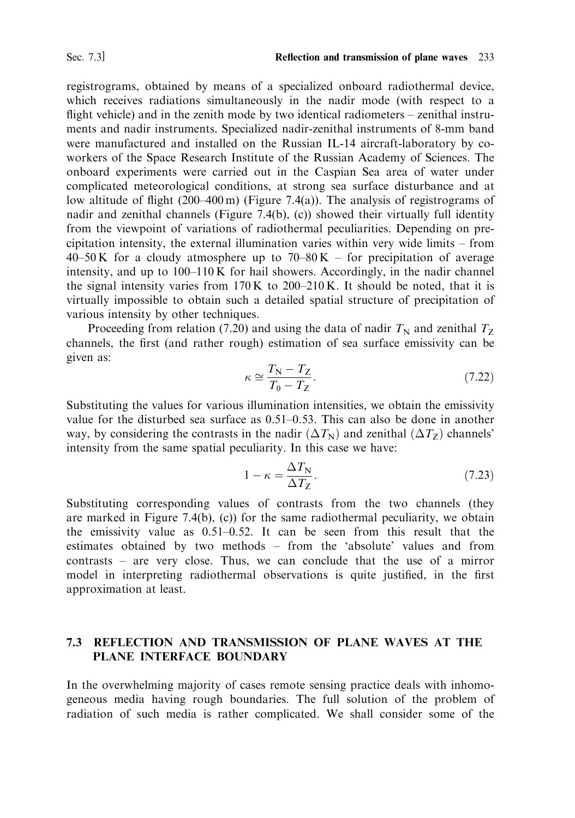registrograms, obtained by means of a specialized onboard radiothermal device, which receives radiations simultaneously in the nadir mode (with respect to a flight vehicle) and in the zenith mode by two identical radiometers  $-$  zenithal instruments and nadir instruments. Specialized nadir-zenithal instruments of 8-mm band were manufactured and installed on the Russian IL-14 aircraft-laboratory by coworkers of the Space Research Institute of the Russian Academy of Sciences. The onboard experiments were carried out in the Caspian Sea area of water under complicated meteorological conditions, at strong sea surface disturbance and at low altitude of flight  $(200-400 \text{ m})$  (Figure 7.4(a)). The analysis of registrograms of nadir and zenithal channels (Figure 7.4(b), (c)) showed their virtually full identity from the viewpoint of variations of radiothermal peculiarities. Depending on precipitation intensity, the external illumination varies within very wide limits  $-$  from 40–50 K for a cloudy atmosphere up to  $70-80 K$  – for precipitation of average intensity, and up to 100–110 K for hail showers. Accordingly, in the nadir channel the signal intensity varies from  $170 K$  to  $200-210 K$ . It should be noted, that it is virtually impossible to obtain such a detailed spatial structure of precipitation of various intensity by other techniques.

Proceeding from relation (7.20) and using the data of nadir  $T_N$  and zenithal  $T_Z$ channels, the first (and rather rough) estimation of sea surface emissivity can be given as:

$$
\kappa \cong \frac{T_{\rm N} - T_{\rm Z}}{T_0 - T_{\rm Z}}.\tag{7.22}
$$

Substituting the values for various illumination intensities, we obtain the emissivity value for the disturbed sea surface as 0.51–0.53. This can also be done in another way, by considering the contrasts in the nadir  $(\Delta T_N)$  and zenithal  $(\Delta T_Z)$  channels' intensity from the same spatial peculiarity. In this case we have:

$$
1 - \kappa = \frac{\Delta T_N}{\Delta T_Z}.\tag{7.23}
$$

Substituting corresponding values of contrasts from the two channels (they are marked in Figure 7.4(b), (c)) for the same radiothermal peculiarity, we obtain the emissivity value as  $0.51-0.52$ . It can be seen from this result that the estimates obtained by two methods - from the 'absolute' values and from contrasts – are very close. Thus, we can conclude that the use of a mirror model in interpreting radiothermal observations is quite justified, in the first approximation at least.

## 7.3 REFLECTION AND TRANSMISSION OF PLANE WAVES AT THE PLANE INTERFACE BOUNDARY

In the overwhelming majority of cases remote sensing practice deals with inhomogeneous media having rough boundaries. The full solution of the problem of radiation of such media is rather complicated. We shall consider some of the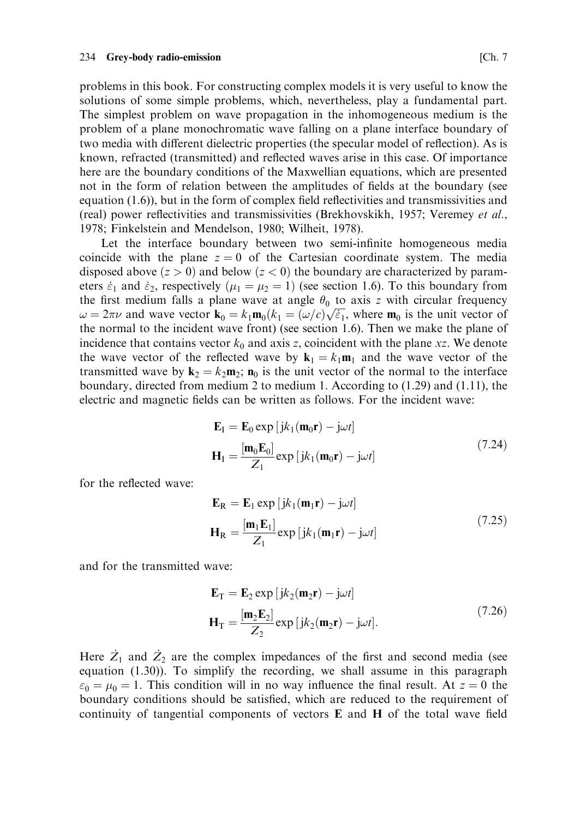problems in this book. For constructing complex models it is very useful to know the solutions of some simple problems, which, nevertheless, play a fundamental part. The simplest problem on wave propagation in the inhomogeneous medium is the problem of a plane monochromatic wave falling on a plane interface boundary of two media with different dielectric properties (the specular model of reflection). As is known, refracted (transmitted) and reflected waves arise in this case. Of importance here are the boundary conditions of the Maxwellian equations, which are presented not in the form of relation between the amplitudes of fields at the boundary (see equation  $(1.6)$ ), but in the form of complex field reflectivities and transmissivities and (real) power reflectivities and transmissivities (Brekhovskikh, 1957; Veremey et al., 1978; Finkelstein and Mendelson, 1980; Wilheit, 1978).

Let the interface boundary between two semi-infinite homogeneous media coincide with the plane  $z = 0$  of the Cartesian coordinate system. The media disposed above  $(z > 0)$  and below  $(z < 0)$  the boundary are characterized by parameters  $\dot{\varepsilon}_1$  and  $\dot{\varepsilon}_2$ , respectively ( $\mu_1 = \mu_2 = 1$ ) (see section 1.6). To this boundary from the first medium falls a plane wave at angle  $\theta_0$  to axis z with circular frequency  $\omega = 2\pi\nu$  and wave vector  $\mathbf{k}_0 = k_1 \mathbf{m}_0 (k_1 = (\omega/c) \sqrt{\varepsilon_1}$ , where  $\mathbf{m}_0$  is the unit vector of the normal to the incident wave front) (see section 1.6). Then we make the plane of incidence that contains vector  $k_0$  and axis z, coincident with the plane xz. We denote the wave vector of the reflected wave by  $\mathbf{k}_1 = k_1 \mathbf{m}_1$  and the wave vector of the transmitted wave by  $\mathbf{k}_2 = k_2 \mathbf{m}_2$ ;  $\mathbf{n}_0$  is the unit vector of the normal to the interface boundary, directed from medium 2 to medium 1. According to  $(1.29)$  and  $(1.11)$ , the electric and magnetic fields can be written as follows. For the incident wave:

$$
\mathbf{E}_{I} = \mathbf{E}_{0} \exp\left[jk_{1}(\mathbf{m}_{0}\mathbf{r}) - j\omega t\right]
$$
  
\n
$$
\mathbf{H}_{I} = \frac{[\mathbf{m}_{0}\mathbf{E}_{0}]}{Z_{1}} \exp\left[jk_{1}(\mathbf{m}_{0}\mathbf{r}) - j\omega t\right]
$$
 (7.24)

for the reflected wave:

$$
\mathbf{E}_{\mathbf{R}} = \mathbf{E}_{1} \exp[jk_{1}(\mathbf{m}_{1}\mathbf{r}) - j\omega t]
$$
  
\n
$$
\mathbf{H}_{\mathbf{R}} = \frac{[\mathbf{m}_{1}\mathbf{E}_{1}]}{Z_{1}} \exp[jk_{1}(\mathbf{m}_{1}\mathbf{r}) - j\omega t]
$$
\n(7.25)

and for the transmitted wave:

$$
\mathbf{E}_{\mathrm{T}} = \mathbf{E}_{2} \exp\left[jk_{2}(\mathbf{m}_{2}\mathbf{r}) - j\omega t\right]
$$
  

$$
\mathbf{H}_{\mathrm{T}} = \frac{[\mathbf{m}_{2}\mathbf{E}_{2}]}{Z_{2}} \exp\left[jk_{2}(\mathbf{m}_{2}\mathbf{r}) - j\omega t\right].
$$
 (7.26)

Here  $\dot{Z}_1$  and  $\dot{Z}_2$  are the complex impedances of the first and second media (see equation  $(1.30)$ ). To simplify the recording, we shall assume in this paragraph  $\varepsilon_0 = \mu_0 = 1$ . This condition will in no way influence the final result. At  $z = 0$  the boundary conditions should be satisfied, which are reduced to the requirement of continuity of tangential components of vectors E and H of the total wave field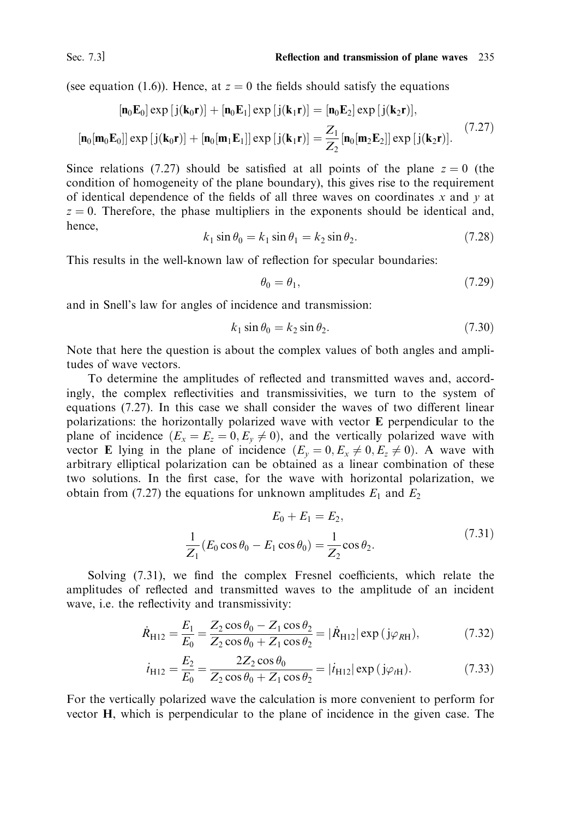Reflection and transmission of plane waves 235

(see equation (1.6)). Hence, at  $z = 0$  the fields should satisfy the equations

$$
\begin{aligned} \left[\mathbf{n}_0 \mathbf{E}_0\right] \exp\left[j(\mathbf{k}_0 \mathbf{r})\right] + \left[\mathbf{n}_0 \mathbf{E}_1\right] \exp\left[j(\mathbf{k}_1 \mathbf{r})\right] &= \left[\mathbf{n}_0 \mathbf{E}_2\right] \exp\left[j(\mathbf{k}_2 \mathbf{r})\right],\\ \left[\mathbf{n}_0 \left[\mathbf{m}_0 \mathbf{E}_0\right]\right] \exp\left[j(\mathbf{k}_0 \mathbf{r})\right] + \left[\mathbf{n}_0 \left[\mathbf{m}_1 \mathbf{E}_1\right]\right] \exp\left[j(\mathbf{k}_1 \mathbf{r})\right] &= \frac{Z_1}{Z_2} \left[\mathbf{n}_0 \left[\mathbf{m}_2 \mathbf{E}_2\right]\right] \exp\left[j(\mathbf{k}_2 \mathbf{r})\right].\end{aligned} \tag{7.27}
$$

Since relations (7.27) should be satisfied at all points of the plane  $z = 0$  (the condition of homogeneity of the plane boundary), this gives rise to the requirement of identical dependence of the fields of all three waves on coordinates  $x$  and  $y$  at  $z = 0$ . Therefore, the phase multipliers in the exponents should be identical and, hence.

$$
k_1 \sin \theta_0 = k_1 \sin \theta_1 = k_2 \sin \theta_2. \tag{7.28}
$$

This results in the well-known law of reflection for specular boundaries:

$$
\theta_0 = \theta_1,\tag{7.29}
$$

and in Snell's law for angles of incidence and transmission:

$$
k_1 \sin \theta_0 = k_2 \sin \theta_2. \tag{7.30}
$$

Note that here the question is about the complex values of both angles and amplitudes of wave vectors.

To determine the amplitudes of reflected and transmitted waves and, accordingly, the complex reflectivities and transmissivities, we turn to the system of equations (7.27). In this case we shall consider the waves of two different linear polarizations: the horizontally polarized wave with vector E perpendicular to the plane of incidence  $(E_x = E_z = 0, E_y \neq 0)$ , and the vertically polarized wave with vector **E** lying in the plane of incidence  $(E_y = 0, E_x \neq 0, E_z \neq 0)$ . A wave with arbitrary elliptical polarization can be obtained as a linear combination of these two solutions. In the first case, for the wave with horizontal polarization, we obtain from (7.27) the equations for unknown amplitudes  $E_1$  and  $E_2$ 

$$
E_0 + E_1 = E_2,
$$
  
\n
$$
\frac{1}{Z_1} (E_0 \cos \theta_0 - E_1 \cos \theta_0) = \frac{1}{Z_2} \cos \theta_2.
$$
\n(7.31)

Solving (7.31), we find the complex Fresnel coefficients, which relate the amplitudes of reflected and transmitted waves to the amplitude of an incident wave, i.e. the reflectivity and transmissivity:

$$
\dot{R}_{\text{H12}} = \frac{E_1}{E_0} = \frac{Z_2 \cos \theta_0 - Z_1 \cos \theta_2}{Z_2 \cos \theta_0 + Z_1 \cos \theta_2} = |\dot{R}_{\text{H12}}| \exp \left( j \varphi_{\text{RH}} \right),\tag{7.32}
$$

$$
\dot{t}_{\text{H12}} = \frac{E_2}{E_0} = \frac{2Z_2 \cos \theta_0}{Z_2 \cos \theta_0 + Z_1 \cos \theta_2} = |\dot{t}_{\text{H12}}| \exp(\text{j}\varphi_{\text{rH}}). \tag{7.33}
$$

For the vertically polarized wave the calculation is more convenient to perform for vector H, which is perpendicular to the plane of incidence in the given case. The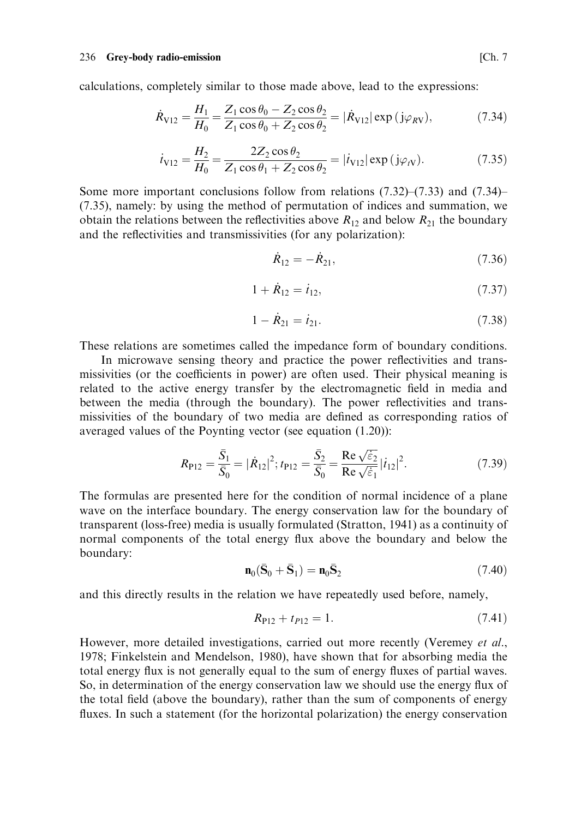calculations, completely similar to those made above, lead to the expressions:

$$
\dot{R}_{V12} = \frac{H_1}{H_0} = \frac{Z_1 \cos \theta_0 - Z_2 \cos \theta_2}{Z_1 \cos \theta_0 + Z_2 \cos \theta_2} = |\dot{R}_{V12}| \exp (j\varphi_{RV}),\tag{7.34}
$$

$$
\dot{t}_{\text{V12}} = \frac{H_2}{H_0} = \frac{2Z_2 \cos \theta_2}{Z_1 \cos \theta_1 + Z_2 \cos \theta_2} = |\dot{t}_{\text{V12}}| \exp (\text{j}\varphi_{\text{IV}}). \tag{7.35}
$$

Some more important conclusions follow from relations  $(7.32)$ – $(7.33)$  and  $(7.34)$ – (7.35), namely: by using the method of permutation of indices and summation, we obtain the relations between the reflectivities above  $R_{12}$  and below  $R_{21}$  the boundary and the reflectivities and transmissivities (for any polarization):

$$
\dot{R}_{12} = -\dot{R}_{21},\tag{7.36}
$$

$$
1 + R_{12} = i_{12}, \t\t(7.37)
$$

$$
1 - \dot{R}_{21} = \dot{t}_{21}.
$$
 (7.38)

These relations are sometimes called the impedance form of boundary conditions.

In microwave sensing theory and practice the power reflectivities and transmissivities (or the coefficients in power) are often used. Their physical meaning is related to the active energy transfer by the electromagnetic field in media and between the media (through the boundary). The power reflectivities and transmissivities of the boundary of two media are defined as corresponding ratios of averaged values of the Poynting vector (see equation  $(1.20)$ ):

$$
R_{\rm P12} = \frac{\bar{S}_1}{\bar{S}_0} = |\dot{R}_{12}|^2; t_{\rm P12} = \frac{\bar{S}_2}{\bar{S}_0} = \frac{\text{Re}\,\sqrt{\varepsilon_2}}{\text{Re}\,\sqrt{\varepsilon_1}} |i_{12}|^2. \tag{7.39}
$$

The formulas are presented here for the condition of normal incidence of a plane wave on the interface boundary. The energy conservation law for the boundary of transparent (loss-free) media is usually formulated (Stratton, 1941) as a continuity of normal components of the total energy flux above the boundary and below the boundary:

$$
\mathbf{n}_0(\bar{\mathbf{S}}_0 + \bar{\mathbf{S}}_1) = \mathbf{n}_0 \bar{\mathbf{S}}_2 \tag{7.40}
$$

and this directly results in the relation we have repeatedly used before, namely,

$$
R_{P12} + t_{P12} = 1. \t\t(7.41)
$$

However, more detailed investigations, carried out more recently (Veremey et al., 1978; Finkelstein and Mendelson, 1980), have shown that for absorbing media the total energy flux is not generally equal to the sum of energy fluxes of partial waves. So, in determination of the energy conservation law we should use the energy flux of the total field (above the boundary), rather than the sum of components of energy fluxes. In such a statement (for the horizontal polarization) the energy conservation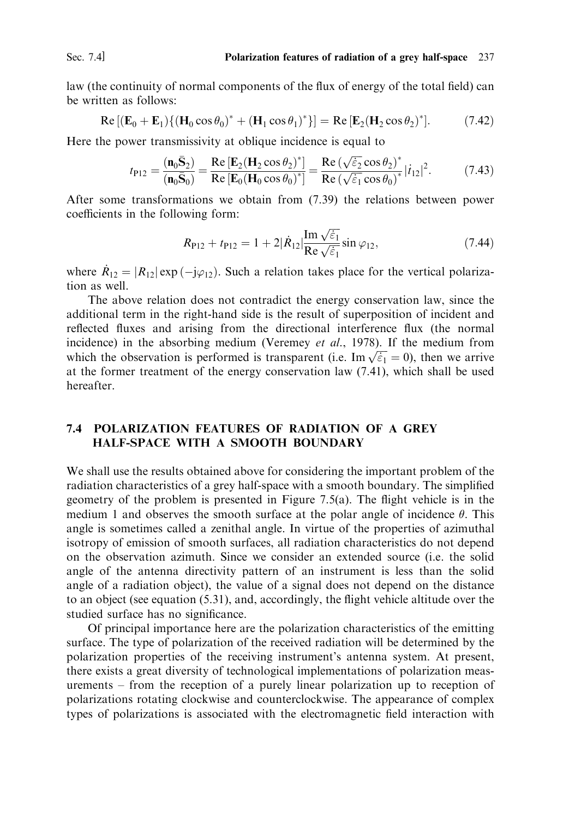law (the continuity of normal components of the flux of energy of the total field) can be written as follows:

$$
\operatorname{Re}\left[\left(\mathbf{E}_0+\mathbf{E}_1\right)\left\{\left(\mathbf{H}_0\cos\theta_0\right)^*+\left(\mathbf{H}_1\cos\theta_1\right)^*\right\}\right]=\operatorname{Re}\left[\mathbf{E}_2(\mathbf{H}_2\cos\theta_2)^*\right].\tag{7.42}
$$

Here the power transmissivity at oblique incidence is equal to

$$
t_{\text{P12}} = \frac{(\mathbf{n}_0 \bar{\mathbf{S}}_2)}{(\mathbf{n}_0 \bar{\mathbf{S}}_0)} = \frac{\text{Re}[\mathbf{E}_2 (\mathbf{H}_2 \cos \theta_2)^*]}{\text{Re}[\mathbf{E}_0 (\mathbf{H}_0 \cos \theta_0)^*]} = \frac{\text{Re}(\sqrt{\varepsilon_2} \cos \theta_2)^*}{\text{Re}(\sqrt{\varepsilon_1} \cos \theta_0)^*} |\dot{t}_{12}|^2. \tag{7.43}
$$

After some transformations we obtain from (7.39) the relations between power coefficients in the following form:

$$
R_{\rm P12} + t_{\rm P12} = 1 + 2|\dot{R}_{12}| \frac{\text{Im}\sqrt{\varepsilon_1}}{\text{Re}\sqrt{\varepsilon_1}} \sin \varphi_{12}, \tag{7.44}
$$

where  $R_{12} = |R_{12}| \exp(-j\varphi_{12})$ . Such a relation takes place for the vertical polarization as well.

The above relation does not contradict the energy conservation law, since the additional term in the right-hand side is the result of superposition of incident and reflected fluxes and arising from the directional interference flux (the normal incidence) in the absorbing medium (Veremey et al., 1978). If the medium from which the observation is performed is transparent (i.e. Im  $\sqrt{\xi_1} = 0$ ), then we arrive at the former treatment of the energy conservation law  $(7.41)$ , which shall be used hereafter.

## **7.4 POLARIZATION FEATURES OF RADIATION OF A GREY** HALF-SPACE WITH A SMOOTH BOUNDARY

We shall use the results obtained above for considering the important problem of the radiation characteristics of a grey half-space with a smooth boundary. The simplified geometry of the problem is presented in Figure 7.5(a). The flight vehicle is in the medium 1 and observes the smooth surface at the polar angle of incidence  $\theta$ . This angle is sometimes called a zenithal angle. In virtue of the properties of azimuthal isotropy of emission of smooth surfaces, all radiation characteristics do not depend on the observation azimuth. Since we consider an extended source (i.e. the solid angle of the antenna directivity pattern of an instrument is less than the solid angle of a radiation object), the value of a signal does not depend on the distance to an object (see equation (5.31), and, accordingly, the flight vehicle altitude over the studied surface has no significance.

Of principal importance here are the polarization characteristics of the emitting surface. The type of polarization of the received radiation will be determined by the polarization properties of the receiving instrument's antenna system. At present, there exists a great diversity of technological implementations of polarization measurements – from the reception of a purely linear polarization up to reception of polarizations rotating clockwise and counterclockwise. The appearance of complex types of polarizations is associated with the electromagnetic field interaction with

Sec.  $74$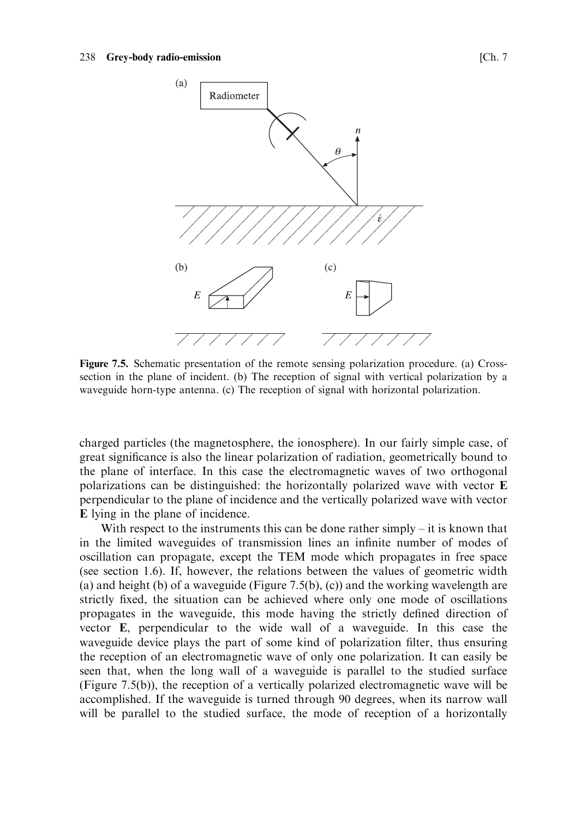

Figure 7.5. Schematic presentation of the remote sensing polarization procedure. (a) Crosssection in the plane of incident. (b) The reception of signal with vertical polarization by a waveguide horn-type antenna. (c) The reception of signal with horizontal polarization.

charged particles (the magnetosphere, the ionosphere). In our fairly simple case, of great significance is also the linear polarization of radiation, geometrically bound to the plane of interface. In this case the electromagnetic waves of two orthogonal polarizations can be distinguished: the horizontally polarized wave with vector E perpendicular to the plane of incidence and the vertically polarized wave with vector E lying in the plane of incidence.

With respect to the instruments this can be done rather simply  $-$  it is known that in the limited waveguides of transmission lines an infinite number of modes of oscillation can propagate, except the TEM mode which propagates in free space (see section 1.6). If, however, the relations between the values of geometric width (a) and height (b) of a waveguide (Figure 7.5(b), (c)) and the working wavelength are strictly fixed, the situation can be achieved where only one mode of oscillations propagates in the waveguide, this mode having the strictly defined direction of vector E, perpendicular to the wide wall of a waveguide. In this case the waveguide device plays the part of some kind of polarization filter, thus ensuring the reception of an electromagnetic wave of only one polarization. It can easily be seen that, when the long wall of a waveguide is parallel to the studied surface (Figure 7.5(b)), the reception of a vertically polarized electromagnetic wave will be accomplished. If the waveguide is turned through 90 degrees, when its narrow wall will be parallel to the studied surface, the mode of reception of a horizontally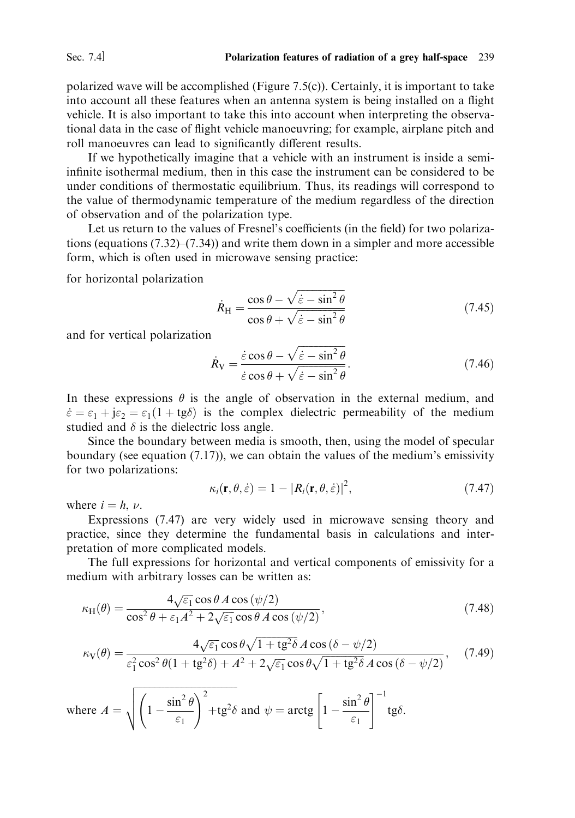polarized wave will be accomplished (Figure 7.5(c)). Certainly, it is important to take into account all these features when an antenna system is being installed on a flight vehicle. It is also important to take this into account when interpreting the observational data in the case of flight vehicle manoeuvring; for example, airplane pitch and roll manoeuvres can lead to significantly different results.

If we hypothetically imagine that a vehicle with an instrument is inside a semiinfinite isothermal medium, then in this case the instrument can be considered to be under conditions of thermostatic equilibrium. Thus, its readings will correspond to the value of thermodynamic temperature of the medium regardless of the direction of observation and of the polarization type.

Let us return to the values of Fresnel's coefficients (in the field) for two polarizations (equations  $(7.32)$ – $(7.34)$ ) and write them down in a simpler and more accessible form, which is often used in microwave sensing practice:

for horizontal polarization

$$
\dot{R}_{\rm H} = \frac{\cos \theta - \sqrt{\dot{\varepsilon} - \sin^2 \theta}}{\cos \theta + \sqrt{\dot{\varepsilon} - \sin^2 \theta}}
$$
(7.45)

and for vertical polarization

$$
\dot{R}_{\rm V} = \frac{\dot{\varepsilon}\cos\theta - \sqrt{\dot{\varepsilon} - \sin^2\theta}}{\dot{\varepsilon}\cos\theta + \sqrt{\dot{\varepsilon} - \sin^2\theta}}.
$$
\n(7.46)

In these expressions  $\theta$  is the angle of observation in the external medium, and  $\dot{\varepsilon} = \varepsilon_1 + j\varepsilon_2 = \varepsilon_1(1 + \text{tg}\delta)$  is the complex dielectric permeability of the medium studied and  $\delta$  is the dielectric loss angle.

Since the boundary between media is smooth, then, using the model of specular boundary (see equation  $(7.17)$ ), we can obtain the values of the medium's emissivity for two polarizations:

$$
\kappa_i(\mathbf{r}, \theta, \dot{\varepsilon}) = 1 - |R_i(\mathbf{r}, \theta, \dot{\varepsilon})|^2, \tag{7.47}
$$

where  $i = h, \nu$ .

Expressions (7.47) are very widely used in microwave sensing theory and practice, since they determine the fundamental basis in calculations and interpretation of more complicated models.

The full expressions for horizontal and vertical components of emissivity for a medium with arbitrary losses can be written as:

$$
\kappa_{\rm H}(\theta) = \frac{4\sqrt{\varepsilon_1}\cos\theta \,A\cos\left(\psi/2\right)}{\cos^2\theta + \varepsilon_1 A^2 + 2\sqrt{\varepsilon_1}\cos\theta \,A\cos\left(\psi/2\right)},\tag{7.48}
$$

$$
\kappa_{\rm V}(\theta) = \frac{4\sqrt{\varepsilon_1}\cos\theta\sqrt{1+\mathfrak{t}g^2\delta}A\cos\left(\delta-\psi/2\right)}{\varepsilon_1^2\cos^2\theta(1+\mathfrak{t}g^2\delta)+A^2+2\sqrt{\varepsilon_1}\cos\theta\sqrt{1+\mathfrak{t}g^2\delta}A\cos\left(\delta-\psi/2\right)},\tag{7.49}
$$

where 
$$
A = \sqrt{\left(1 - \frac{\sin^2 \theta}{\varepsilon_1}\right)^2 + t g^2 \delta}
$$
 and  $\psi = \arctg \left[1 - \frac{\sin^2 \theta}{\varepsilon_1}\right]^{-1} t g \delta$ .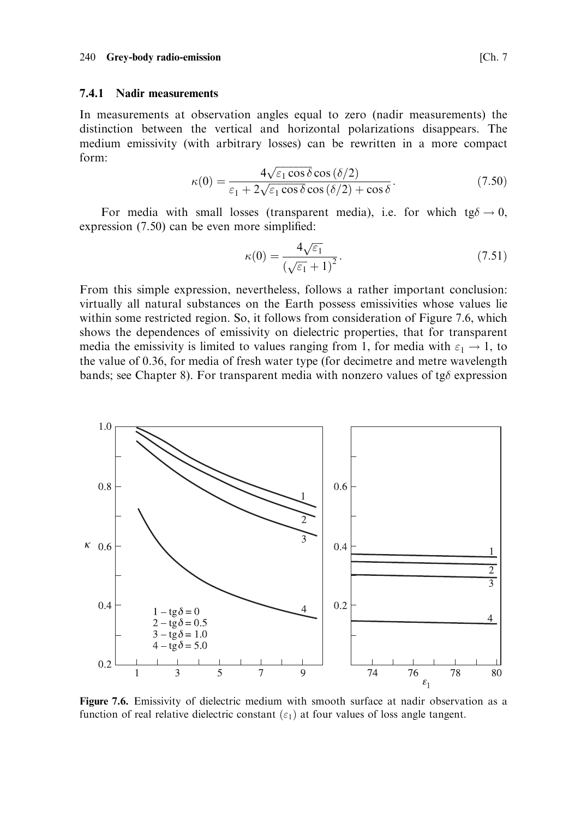## 7.4.1 Nadir measurements

In measurements at observation angles equal to zero (nadir measurements) the distinction between the vertical and horizontal polarizations disappears. The medium emissivity (with arbitrary losses) can be rewritten in a more compact form:

$$
\kappa(0) = \frac{4\sqrt{\varepsilon_1 \cos \delta} \cos (\delta/2)}{\varepsilon_1 + 2\sqrt{\varepsilon_1 \cos \delta} \cos (\delta/2) + \cos \delta}.
$$
\n(7.50)

For media with small losses (transparent media), i.e. for which  $tg\delta \rightarrow 0$ , expression  $(7.50)$  can be even more simplified:

$$
\kappa(0) = \frac{4\sqrt{\varepsilon_1}}{\left(\sqrt{\varepsilon_1} + 1\right)^2}.\tag{7.51}
$$

From this simple expression, nevertheless, follows a rather important conclusion: virtually all natural substances on the Earth possess emissivities whose values lie within some restricted region. So, it follows from consideration of Figure 7.6, which shows the dependences of emissivity on dielectric properties, that for transparent media the emissivity is limited to values ranging from 1, for media with  $\varepsilon_1 \rightarrow 1$ , to the value of 0.36, for media of fresh water type (for decimetre and metre wavelength bands; see Chapter 8). For transparent media with nonzero values of tg $\delta$  expression



Figure 7.6. Emissivity of dielectric medium with smooth surface at nadir observation as a function of real relative dielectric constant  $(\varepsilon_1)$  at four values of loss angle tangent.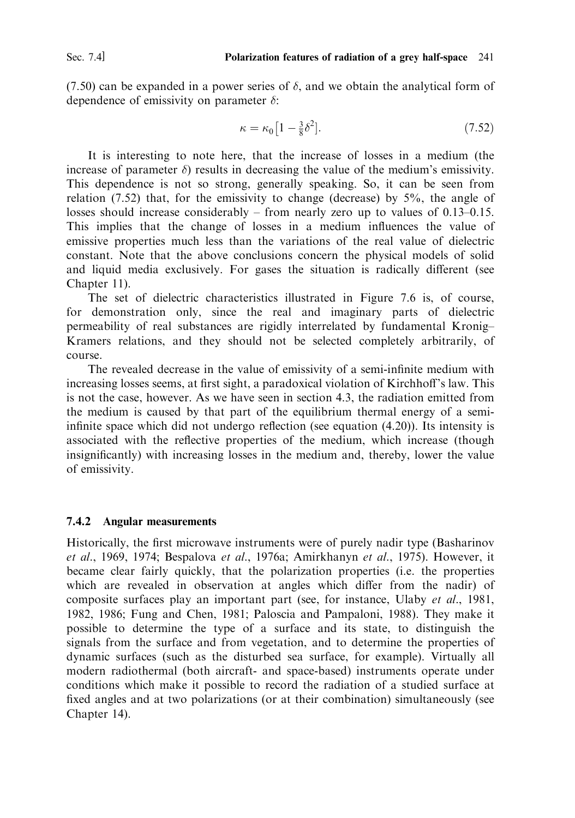(7.50) can be expanded in a power series of  $\delta$ , and we obtain the analytical form of dependence of emissivity on parameter  $\delta$ :

$$
\kappa = \kappa_0 \left[ 1 - \frac{3}{8} \delta^2 \right]. \tag{7.52}
$$

It is interesting to note here, that the increase of losses in a medium (the increase of parameter  $\delta$ ) results in decreasing the value of the medium's emissivity. This dependence is not so strong, generally speaking. So, it can be seen from relation (7.52) that, for the emissivity to change (decrease) by  $5\%$ , the angle of losses should increase considerably  $-$  from nearly zero up to values of 0.13–0.15. This implies that the change of losses in a medium influences the value of emissive properties much less than the variations of the real value of dielectric constant. Note that the above conclusions concern the physical models of solid and liquid media exclusively. For gases the situation is radically different (see Chapter 11).

The set of dielectric characteristics illustrated in Figure 7.6 is, of course, for demonstration only, since the real and imaginary parts of dielectric permeability of real substances are rigidly interrelated by fundamental Kronig-Kramers relations, and they should not be selected completely arbitrarily, of course.

The revealed decrease in the value of emissivity of a semi-infinite medium with increasing losses seems, at first sight, a paradoxical violation of Kirchhoff's law. This is not the case, however. As we have seen in section 4.3, the radiation emitted from the medium is caused by that part of the equilibrium thermal energy of a semiinfinite space which did not undergo reflection (see equation (4.20)). Its intensity is associated with the reflective properties of the medium, which increase (though insignificantly) with increasing losses in the medium and, thereby, lower the value of emissivity.

## 7.4.2 Angular measurements

Historically, the first microwave instruments were of purely nadir type (Basharinov et al., 1969, 1974; Bespalova et al., 1976a; Amirkhanyn et al., 1975). However, it became clear fairly quickly, that the polarization properties (i.e. the properties which are revealed in observation at angles which differ from the nadir) of composite surfaces play an important part (see, for instance, Ulaby et al., 1981, 1982, 1986; Fung and Chen, 1981; Paloscia and Pampaloni, 1988). They make it possible to determine the type of a surface and its state, to distinguish the signals from the surface and from vegetation, and to determine the properties of dynamic surfaces (such as the disturbed sea surface, for example). Virtually all modern radiothermal (both aircraft- and space-based) instruments operate under conditions which make it possible to record the radiation of a studied surface at fixed angles and at two polarizations (or at their combination) simultaneously (see Chapter 14).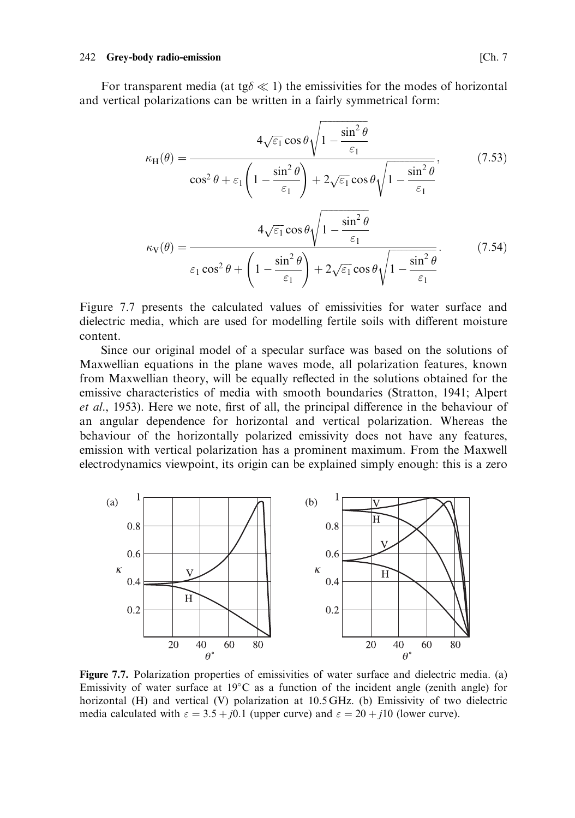### 242 Grey-body radio-emission

For transparent media (at tg $\delta \ll 1$ ) the emissivities for the modes of horizontal and vertical polarizations can be written in a fairly symmetrical form:

$$
\kappa_{\rm H}(\theta) = \frac{4\sqrt{\varepsilon_1}\cos\theta\sqrt{1 - \frac{\sin^2\theta}{\varepsilon_1}}}{\cos^2\theta + \varepsilon_1\left(1 - \frac{\sin^2\theta}{\varepsilon_1}\right) + 2\sqrt{\varepsilon_1}\cos\theta\sqrt{1 - \frac{\sin^2\theta}{\varepsilon_1}}},\qquad(7.53)
$$

$$
\kappa_{\rm V}(\theta) = \frac{4\sqrt{\varepsilon_1}\cos\theta\sqrt{1 - \frac{\sin^2\theta}{\varepsilon_1}}}{\varepsilon_1\cos^2\theta + \left(1 - \frac{\sin^2\theta}{\varepsilon_1}\right) + 2\sqrt{\varepsilon_1}\cos\theta\sqrt{1 - \frac{\sin^2\theta}{\varepsilon_1}}}.
$$
(7.54)

Figure 7.7 presents the calculated values of emissivities for water surface and dielectric media, which are used for modelling fertile soils with different moisture content.

Since our original model of a specular surface was based on the solutions of Maxwellian equations in the plane waves mode, all polarization features, known from Maxwellian theory, will be equally reflected in the solutions obtained for the emissive characteristics of media with smooth boundaries (Stratton, 1941; Alpert et al., 1953). Here we note, first of all, the principal difference in the behaviour of an angular dependence for horizontal and vertical polarization. Whereas the behaviour of the horizontally polarized emissivity does not have any features, emission with vertical polarization has a prominent maximum. From the Maxwell electrodynamics viewpoint, its origin can be explained simply enough: this is a zero



Figure 7.7. Polarization properties of emissivities of water surface and dielectric media. (a) Emissivity of water surface at  $19^{\circ}$ C as a function of the incident angle (zenith angle) for horizontal (H) and vertical (V) polarization at 10.5 GHz. (b) Emissivity of two dielectric media calculated with  $\varepsilon = 3.5 + j0.1$  (upper curve) and  $\varepsilon = 20 + j10$  (lower curve).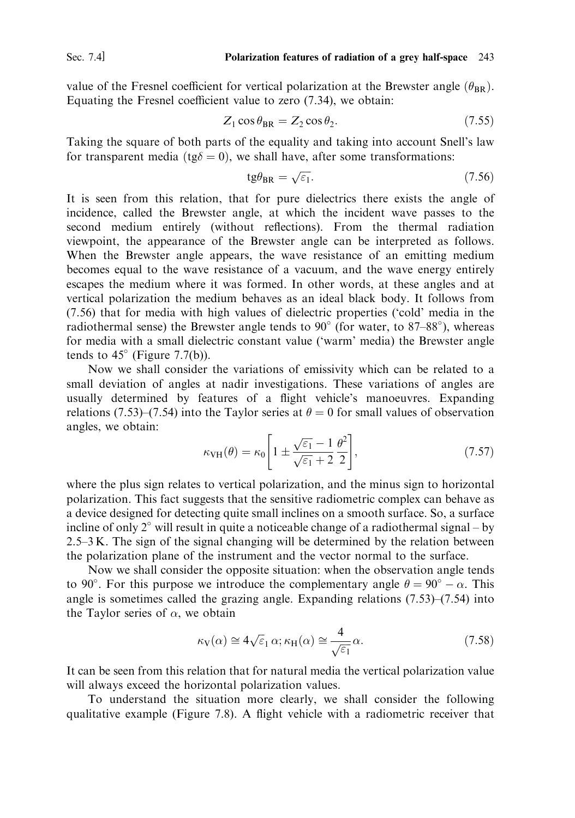Sec.  $74$ 

value of the Fresnel coefficient for vertical polarization at the Brewster angle  $(\theta_{RR})$ . Equating the Fresnel coefficient value to zero  $(7.34)$ , we obtain:

$$
Z_1 \cos \theta_{\text{BR}} = Z_2 \cos \theta_2. \tag{7.55}
$$

Taking the square of both parts of the equality and taking into account Snell's law for transparent media (tg $\delta = 0$ ), we shall have, after some transformations:

$$
tg\theta_{BR} = \sqrt{\varepsilon_1}.\tag{7.56}
$$

It is seen from this relation, that for pure dielectrics there exists the angle of incidence, called the Brewster angle, at which the incident wave passes to the second medium entirely (without reflections). From the thermal radiation viewpoint, the appearance of the Brewster angle can be interpreted as follows. When the Brewster angle appears, the wave resistance of an emitting medium becomes equal to the wave resistance of a vacuum, and the wave energy entirely escapes the medium where it was formed. In other words, at these angles and at vertical polarization the medium behaves as an ideal black body. It follows from (7.56) that for media with high values of dielectric properties ('cold' media in the radiothermal sense) the Brewster angle tends to  $90^{\circ}$  (for water, to 87–88°), whereas for media with a small dielectric constant value ('warm' media) the Brewster angle tends to  $45^{\circ}$  (Figure 7.7(b)).

Now we shall consider the variations of emissivity which can be related to a small deviation of angles at nadir investigations. These variations of angles are usually determined by features of a flight vehicle's manoeuvres. Expanding relations (7.53)–(7.54) into the Taylor series at  $\theta = 0$  for small values of observation angles, we obtain:

$$
\kappa_{\text{VH}}(\theta) = \kappa_0 \left[ 1 \pm \frac{\sqrt{\varepsilon_1} - 1}{\sqrt{\varepsilon_1} + 2} \frac{\theta^2}{2} \right],\tag{7.57}
$$

where the plus sign relates to vertical polarization, and the minus sign to horizontal polarization. This fact suggests that the sensitive radiometric complex can behave as a device designed for detecting quite small inclines on a smooth surface. So, a surface incline of only  $2^{\circ}$  will result in quite a noticeable change of a radiothermal signal – by  $2.5-3 K$ . The sign of the signal changing will be determined by the relation between the polarization plane of the instrument and the vector normal to the surface.

Now we shall consider the opposite situation: when the observation angle tends to 90°. For this purpose we introduce the complementary angle  $\theta = 90^\circ - \alpha$ . This angle is sometimes called the grazing angle. Expanding relations  $(7.53)$ – $(7.54)$  into the Taylor series of  $\alpha$ , we obtain

$$
\kappa_V(\alpha) \cong 4\sqrt{\varepsilon_1} \alpha; \kappa_H(\alpha) \cong \frac{4}{\sqrt{\varepsilon_1}} \alpha. \tag{7.58}
$$

It can be seen from this relation that for natural media the vertical polarization value will always exceed the horizontal polarization values.

To understand the situation more clearly, we shall consider the following qualitative example (Figure 7.8). A flight vehicle with a radiometric receiver that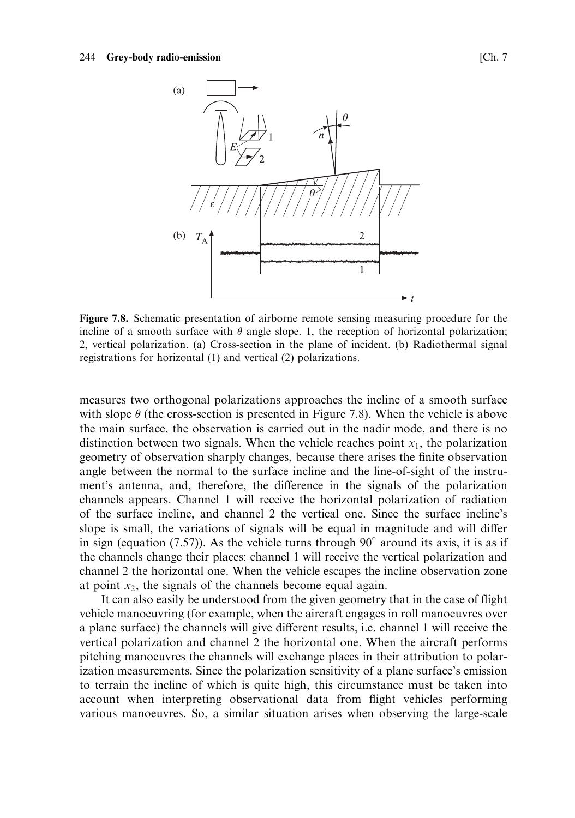

Figure 7.8. Schematic presentation of airborne remote sensing measuring procedure for the incline of a smooth surface with  $\theta$  angle slope. 1, the reception of horizontal polarization; 2, vertical polarization. (a) Cross-section in the plane of incident. (b) Radiothermal signal registrations for horizontal (1) and vertical (2) polarizations.

measures two orthogonal polarizations approaches the incline of a smooth surface with slope  $\theta$  (the cross-section is presented in Figure 7.8). When the vehicle is above the main surface, the observation is carried out in the nadir mode, and there is no distinction between two signals. When the vehicle reaches point  $x_1$ , the polarization geometry of observation sharply changes, because there arises the finite observation angle between the normal to the surface incline and the line-of-sight of the instrument's antenna, and, therefore, the difference in the signals of the polarization channels appears. Channel 1 will receive the horizontal polarization of radiation of the surface incline, and channel 2 the vertical one. Since the surface incline's slope is small, the variations of signals will be equal in magnitude and will differ in sign (equation (7.57)). As the vehicle turns through 90 $^{\circ}$  around its axis, it is as if the channels change their places: channel 1 will receive the vertical polarization and channel 2 the horizontal one. When the vehicle escapes the incline observation zone at point  $x<sub>2</sub>$ , the signals of the channels become equal again.

It can also easily be understood from the given geometry that in the case of flight vehicle manoeuvring (for example, when the aircraft engages in roll manoeuvres over a plane surface) the channels will give different results, *i.e.* channel 1 will receive the vertical polarization and channel 2 the horizontal one. When the aircraft performs pitching manoeuvres the channels will exchange places in their attribution to polarization measurements. Since the polarization sensitivity of a plane surface's emission to terrain the incline of which is quite high, this circumstance must be taken into account when interpreting observational data from flight vehicles performing various manoeuvres. So, a similar situation arises when observing the large-scale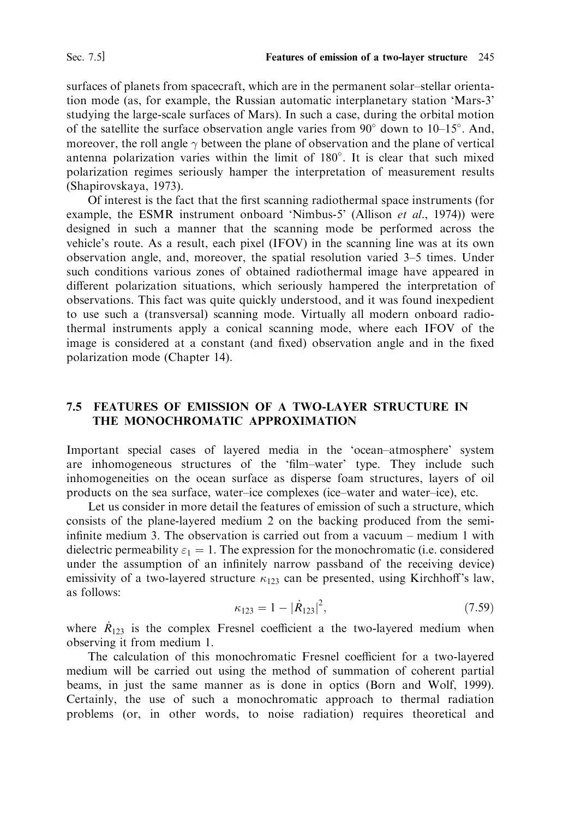surfaces of planets from spacecraft, which are in the permanent solar-stellar orientation mode (as, for example, the Russian automatic interplanetary station 'Mars-3' studying the large-scale surfaces of Mars). In such a case, during the orbital motion of the satellite the surface observation angle varies from  $90^{\circ}$  down to  $10-15^{\circ}$ . And, moreover, the roll angle  $\gamma$  between the plane of observation and the plane of vertical antenna polarization varies within the limit of 180°. It is clear that such mixed polarization regimes seriously hamper the interpretation of measurement results (Shapirovskaya, 1973).

Of interest is the fact that the first scanning radiothermal space instruments (for example, the ESMR instrument onboard 'Nimbus-5' (Allison et al., 1974)) were designed in such a manner that the scanning mode be performed across the vehicle's route. As a result, each pixel (IFOV) in the scanning line was at its own observation angle, and, moreover, the spatial resolution varied 3–5 times. Under such conditions various zones of obtained radiothermal image have appeared in different polarization situations, which seriously hampered the interpretation of observations. This fact was quite quickly understood, and it was found inexpedient to use such a (transversal) scanning mode. Virtually all modern onboard radiothermal instruments apply a conical scanning mode, where each IFOV of the image is considered at a constant (and fixed) observation angle and in the fixed polarization mode (Chapter 14).

## 7.5 FEATURES OF EMISSION OF A TWO-LAYER STRUCTURE IN THE MONOCHROMATIC APPROXIMATION

Important special cases of layered media in the 'ocean-atmosphere' system are inhomogeneous structures of the 'film-water' type. They include such inhomogeneities on the ocean surface as disperse foam structures, layers of oil products on the sea surface, water-ice complexes (ice-water and water-ice), etc.

Let us consider in more detail the features of emission of such a structure, which consists of the plane-layered medium 2 on the backing produced from the semiinfinite medium 3. The observation is carried out from a vacuum  $-$  medium 1 with dielectric permeability  $\varepsilon_1 = 1$ . The expression for the monochromatic (i.e. considered under the assumption of an infinitely narrow passband of the receiving device) emissivity of a two-layered structure  $\kappa_{123}$  can be presented, using Kirchhoff's law, as follows:

$$
\kappa_{123} = 1 - |\dot{R}_{123}|^2, \tag{7.59}
$$

where  $\dot{R}_{123}$  is the complex Fresnel coefficient a the two-layered medium when observing it from medium 1.

The calculation of this monochromatic Fresnel coefficient for a two-layered medium will be carried out using the method of summation of coherent partial beams, in just the same manner as is done in optics (Born and Wolf, 1999). Certainly, the use of such a monochromatic approach to thermal radiation problems (or, in other words, to noise radiation) requires theoretical and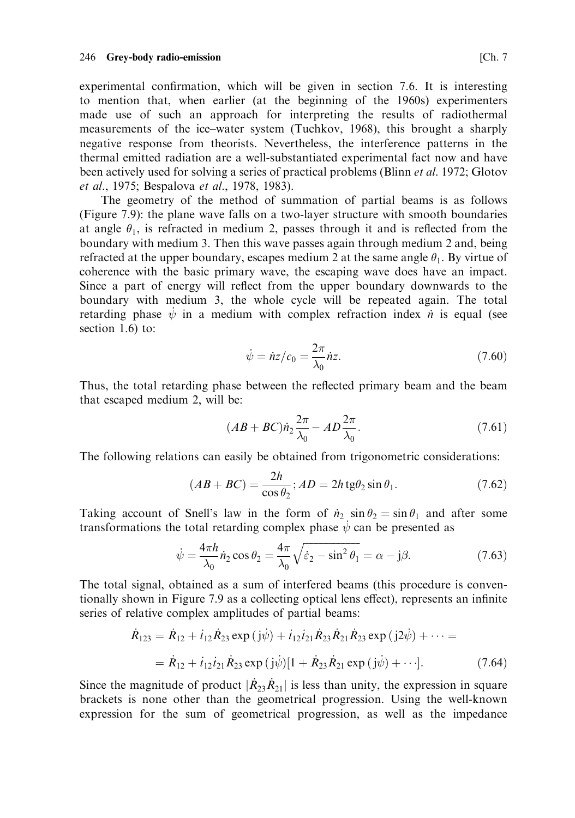experimental confirmation, which will be given in section 7.6. It is interesting to mention that, when earlier (at the beginning of the 1960s) experimenters made use of such an approach for interpreting the results of radiothermal measurements of the ice-water system (Tuchkov, 1968), this brought a sharply negative response from theorists. Nevertheless, the interference patterns in the thermal emitted radiation are a well-substantiated experimental fact now and have been actively used for solving a series of practical problems (Blinn et al. 1972; Glotov et al., 1975; Bespalova et al., 1978, 1983).

The geometry of the method of summation of partial beams is as follows (Figure 7.9): the plane wave falls on a two-layer structure with smooth boundaries at angle  $\theta_1$ , is refracted in medium 2, passes through it and is reflected from the boundary with medium 3. Then this wave passes again through medium 2 and, being refracted at the upper boundary, escapes medium 2 at the same angle  $\theta_1$ . By virtue of coherence with the basic primary wave, the escaping wave does have an impact. Since a part of energy will reflect from the upper boundary downwards to the boundary with medium 3, the whole cycle will be repeated again. The total retarding phase  $\psi$  in a medium with complex refraction index  $\dot{n}$  is equal (see section  $1.6$  to:

$$
\dot{\psi} = \dot{n}z/c_0 = \frac{2\pi}{\lambda_0}\dot{n}z.
$$
\n(7.60)

Thus, the total retarding phase between the reflected primary beam and the beam that escaped medium 2, will be:

$$
(AB + BC)\dot{n}_2 \frac{2\pi}{\lambda_0} - AD \frac{2\pi}{\lambda_0}.\tag{7.61}
$$

The following relations can easily be obtained from trigonometric considerations:

$$
(AB + BC) = \frac{2h}{\cos \theta_2}; AD = 2h \operatorname{tg} \theta_2 \sin \theta_1.
$$
 (7.62)

Taking account of Snell's law in the form of  $n_2 \sin \theta_2 = \sin \theta_1$  and after some transformations the total retarding complex phase  $\dot{\psi}$  can be presented as

$$
\dot{\psi} = \frac{4\pi h}{\lambda_0} \dot{n}_2 \cos \theta_2 = \frac{4\pi}{\lambda_0} \sqrt{\dot{\varepsilon}_2 - \sin^2 \theta_1} = \alpha - \mathbf{j}\beta. \tag{7.63}
$$

The total signal, obtained as a sum of interfered beams (this procedure is conventionally shown in Figure 7.9 as a collecting optical lens effect), represents an infinite series of relative complex amplitudes of partial beams:

$$
\dot{R}_{123} = \dot{R}_{12} + i_{12}\dot{R}_{23} \exp(\mathbf{j}\dot{\psi}) + i_{12}i_{21}\dot{R}_{23}\dot{R}_{21}\dot{R}_{23} \exp(\mathbf{j}2\dot{\psi}) + \cdots =
$$
\n
$$
= \dot{R}_{12} + i_{12}i_{21}\dot{R}_{23} \exp(\mathbf{j}\dot{\psi})[1 + \dot{R}_{23}\dot{R}_{21} \exp(\mathbf{j}\dot{\psi}) + \cdots]. \tag{7.64}
$$

Since the magnitude of product  $|\dot{R}_{23} \dot{R}_{21}|$  is less than unity, the expression in square brackets is none other than the geometrical progression. Using the well-known expression for the sum of geometrical progression, as well as the impedance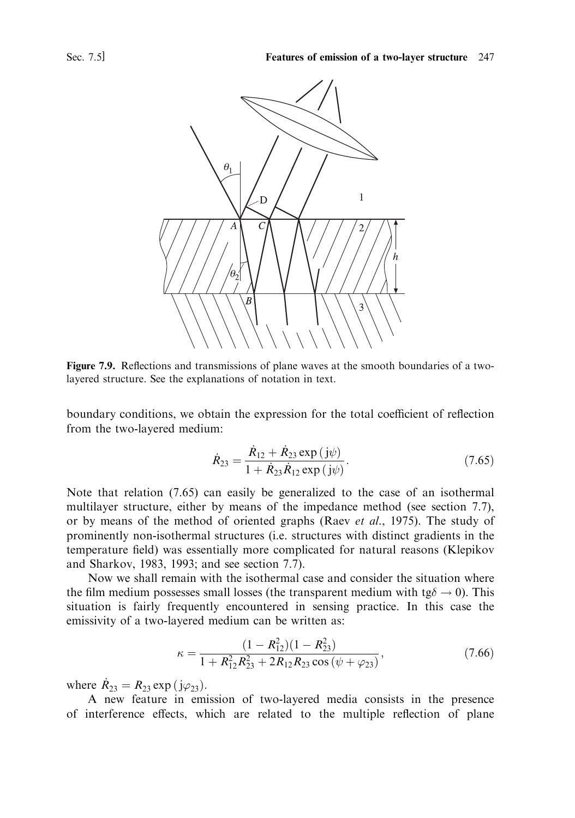

Figure 7.9. Reflections and transmissions of plane waves at the smooth boundaries of a twolayered structure. See the explanations of notation in text.

boundary conditions, we obtain the expression for the total coefficient of reflection from the two-layered medium:

$$
\dot{R}_{23} = \frac{R_{12} + R_{23} \exp(j\psi)}{1 + \dot{R}_{23} \dot{R}_{12} \exp(j\psi)}.
$$
\n(7.65)

Note that relation (7.65) can easily be generalized to the case of an isothermal multilayer structure, either by means of the impedance method (see section 7.7), or by means of the method of oriented graphs (Raev et al., 1975). The study of prominently non-isothermal structures (i.e. structures with distinct gradients in the temperature field) was essentially more complicated for natural reasons (Klepikov and Sharkov, 1983, 1993; and see section 7.7).

Now we shall remain with the isothermal case and consider the situation where the film medium possesses small losses (the transparent medium with tg $\delta \rightarrow 0$ ). This situation is fairly frequently encountered in sensing practice. In this case the emissivity of a two-layered medium can be written as:

$$
\kappa = \frac{(1 - R_{12}^2)(1 - R_{23}^2)}{1 + R_{12}^2 R_{23}^2 + 2R_{12}R_{23}\cos(\psi + \varphi_{23})},\tag{7.66}
$$

where  $\dot{R}_{23} = R_{23} \exp{(j\varphi_{23})}$ .

A new feature in emission of two-layered media consists in the presence of interference effects, which are related to the multiple reflection of plane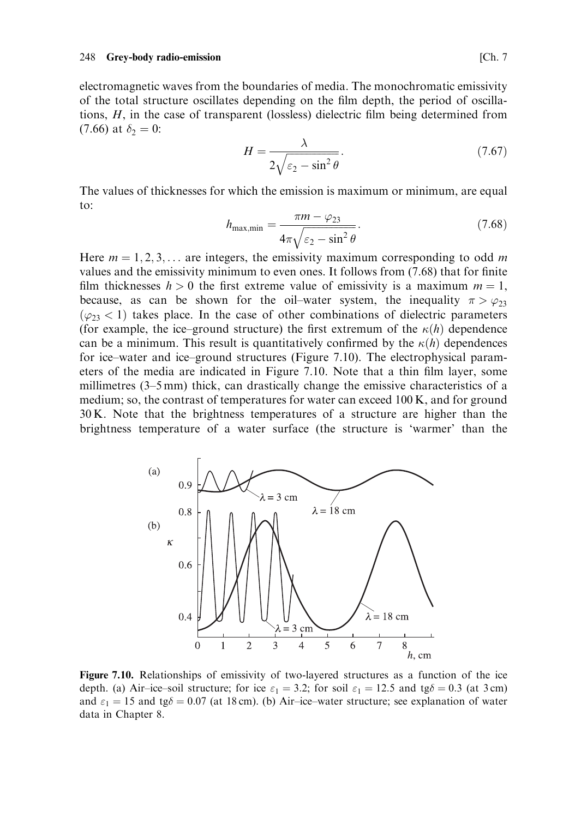electromagnetic waves from the boundaries of media. The monochromatic emissivity of the total structure oscillates depending on the film depth, the period of oscillations,  $H$ , in the case of transparent (lossless) dielectric film being determined from  $(7.66)$  at  $\delta_2 = 0$ :

$$
H = \frac{\lambda}{2\sqrt{\varepsilon_2 - \sin^2\theta}}.\tag{7.67}
$$

The values of thicknesses for which the emission is maximum or minimum, are equal to:

$$
h_{\text{max,min}} = \frac{\pi m - \varphi_{23}}{4\pi\sqrt{\varepsilon_2 - \sin^2\theta}}.\tag{7.68}
$$

Here  $m = 1, 2, 3, \dots$  are integers, the emissivity maximum corresponding to odd m values and the emissivity minimum to even ones. It follows from (7.68) that for finite film thicknesses  $h > 0$  the first extreme value of emissivity is a maximum  $m = 1$ , because, as can be shown for the oil-water system, the inequality  $\pi > \varphi_{23}$  $(\varphi_{23} < 1)$  takes place. In the case of other combinations of dielectric parameters (for example, the ice-ground structure) the first extremum of the  $\kappa(h)$  dependence can be a minimum. This result is quantitatively confirmed by the  $\kappa(h)$  dependences for ice-water and ice-ground structures (Figure 7.10). The electrophysical parameters of the media are indicated in Figure 7.10. Note that a thin film layer, some millimetres (3–5 mm) thick, can drastically change the emissive characteristics of a medium; so, the contrast of temperatures for water can exceed 100 K, and for ground 30 K. Note that the brightness temperatures of a structure are higher than the brightness temperature of a water surface (the structure is 'warmer' than the



Figure 7.10. Relationships of emissivity of two-layered structures as a function of the ice depth. (a) Air-ice-soil structure; for ice  $\varepsilon_1 = 3.2$ ; for soil  $\varepsilon_1 = 12.5$  and tg $\delta = 0.3$  (at 3 cm) and  $\varepsilon_1 = 15$  and tg $\delta = 0.07$  (at 18 cm). (b) Air-ice-water structure; see explanation of water data in Chapter 8.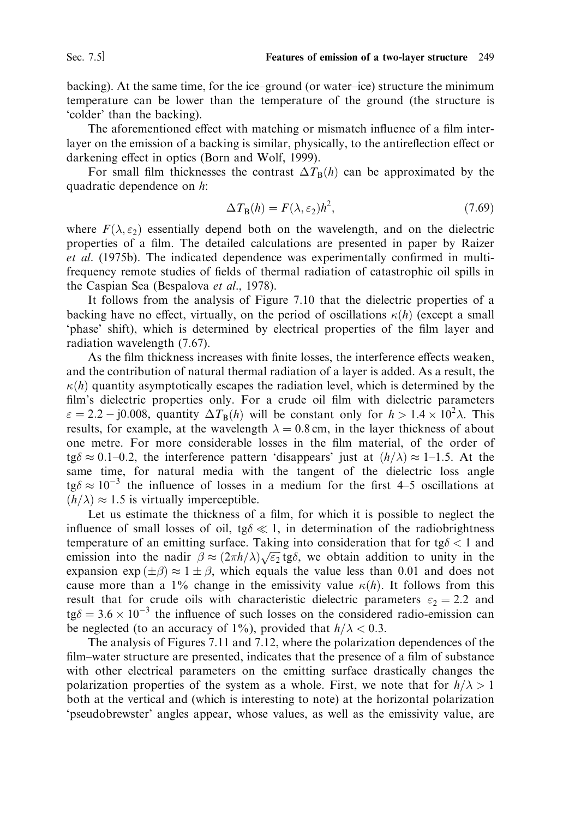backing). At the same time, for the ice-ground (or water-ice) structure the minimum temperature can be lower than the temperature of the ground (the structure is 'colder' than the backing).

The aforementioned effect with matching or mismatch influence of a film interlayer on the emission of a backing is similar, physically, to the antireflection effect or darkening effect in optics (Born and Wolf, 1999).

For small film thicknesses the contrast  $\Delta T_B(h)$  can be approximated by the quadratic dependence on h:

$$
\Delta T_{\mathbf{B}}(h) = F(\lambda, \varepsilon_2)h^2,\tag{7.69}
$$

where  $F(\lambda, \varepsilon_2)$  essentially depend both on the wavelength, and on the dielectric properties of a film. The detailed calculations are presented in paper by Raizer et al. (1975b). The indicated dependence was experimentally confirmed in multifrequency remote studies of fields of thermal radiation of catastrophic oil spills in the Caspian Sea (Bespalova et al., 1978).

It follows from the analysis of Figure 7.10 that the dielectric properties of a backing have no effect, virtually, on the period of oscillations  $\kappa(h)$  (except a small 'phase' shift), which is determined by electrical properties of the film layer and radiation wavelength (7.67).

As the film thickness increases with finite losses, the interference effects weaken, and the contribution of natural thermal radiation of a layer is added. As a result, the  $\kappa(h)$  quantity asymptotically escapes the radiation level, which is determined by the film's dielectric properties only. For a crude oil film with dielectric parameters  $\varepsilon = 2.2 - 0.008$ , quantity  $\Delta T_B(h)$  will be constant only for  $h > 1.4 \times 10^2 \lambda$ . This results, for example, at the wavelength  $\lambda = 0.8$  cm, in the layer thickness of about one metre. For more considerable losses in the film material, of the order of tg $\delta \approx 0.1$ –0.2, the interference pattern 'disappears' just at  $(h/\lambda) \approx 1$ –1.5. At the same time, for natural media with the tangent of the dielectric loss angle  $\tau$  the influence of losses in a medium for the first 4–5 oscillations at  $(h/\lambda) \approx 1.5$  is virtually imperceptible.

Let us estimate the thickness of a film, for which it is possible to neglect the influence of small losses of oil,  $tg\delta \ll 1$ , in determination of the radiobrightness temperature of an emitting surface. Taking into consideration that for  $tg\delta < 1$  and emission into the nadir  $\beta \approx (2\pi h/\lambda)\sqrt{\epsilon_2}$  tg $\delta$ , we obtain addition to unity in the expansion  $\exp(\pm \beta) \approx 1 \pm \beta$ , which equals the value less than 0.01 and does not cause more than a 1% change in the emissivity value  $\kappa(h)$ . It follows from this result that for crude oils with characteristic dielectric parameters  $\varepsilon_2 = 2.2$  and  $\text{tg}\delta = 3.6 \times 10^{-3}$  the influence of such losses on the considered radio-emission can be neglected (to an accuracy of 1%), provided that  $h/\lambda < 0.3$ .

The analysis of Figures 7.11 and 7.12, where the polarization dependences of the film–water structure are presented, indicates that the presence of a film of substance with other electrical parameters on the emitting surface drastically changes the polarization properties of the system as a whole. First, we note that for  $h/\lambda > 1$ both at the vertical and (which is interesting to note) at the horizontal polarization 'pseudobrewster' angles appear, whose values, as well as the emissivity value, are

Sec. 7.5]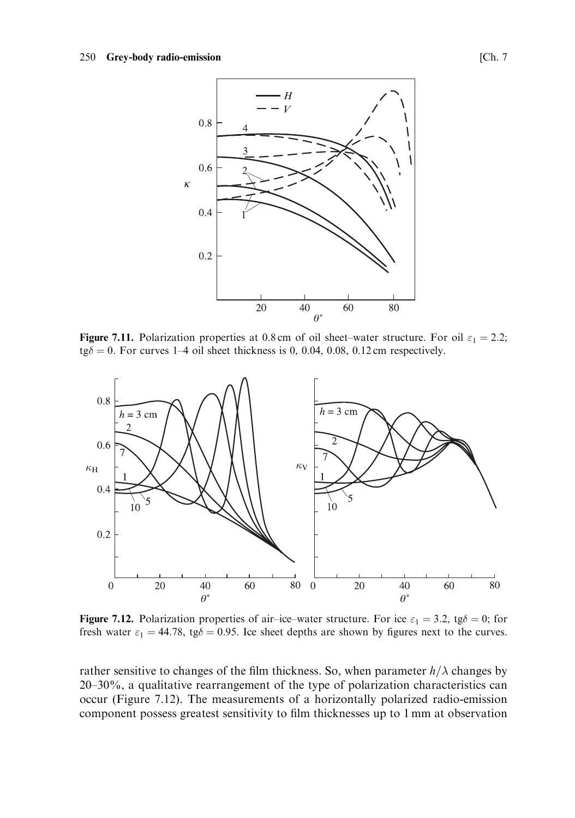

Figure 7.11. Polarization properties at 0.8 cm of oil sheet-water structure. For oil  $\varepsilon_1 = 2.2$ ;  $\text{tg}\delta = 0$ . For curves 1–4 oil sheet thickness is 0, 0.04, 0.08, 0.12 cm respectively.



**Figure 7.12.** Polarization properties of air-ice-water structure. For ice  $\varepsilon_1 = 3.2$ , tg $\delta = 0$ ; for fresh water  $\varepsilon_1 = 44.78$ , tg $\delta = 0.95$ . Ice sheet depths are shown by figures next to the curves.

rather sensitive to changes of the film thickness. So, when parameter  $h/\lambda$  changes by 20–30%, a qualitative rearrangement of the type of polarization characteristics can occur (Figure 7.12). The measurements of a horizontally polarized radio-emission component possess greatest sensitivity to film thicknesses up to 1 mm at observation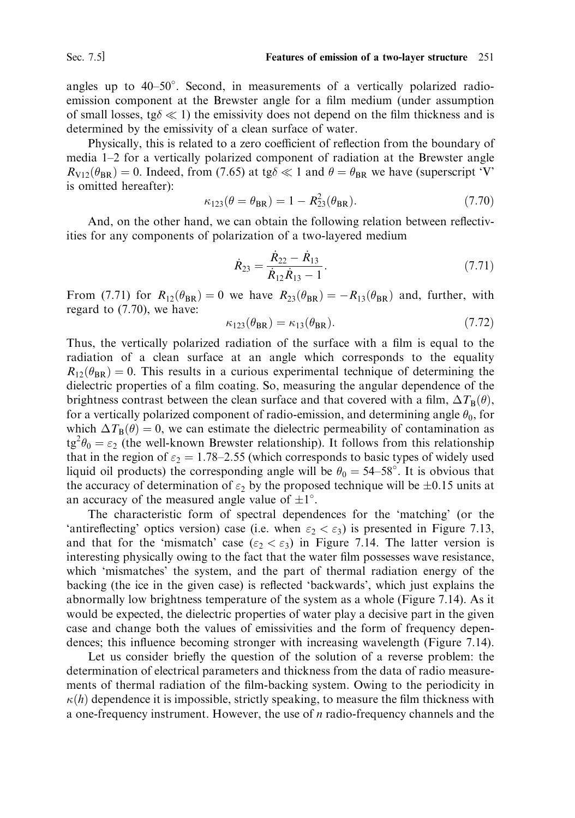angles up to 40–50°. Second, in measurements of a vertically polarized radioemission component at the Brewster angle for a film medium (under assumption of small losses, tg $\delta \ll 1$ ) the emissivity does not depend on the film thickness and is determined by the emissivity of a clean surface of water.

Physically, this is related to a zero coefficient of reflection from the boundary of media 1-2 for a vertically polarized component of radiation at the Brewster angle  $R_{\text{V12}}(\theta_{\text{BR}}) = 0$ . Indeed, from (7.65) at tg $\delta \ll 1$  and  $\theta = \theta_{\text{BR}}$  we have (superscript 'V' is omitted hereafter):

$$
\kappa_{123}(\theta = \theta_{BR}) = 1 - R_{23}^2(\theta_{BR}).\tag{7.70}
$$

And, on the other hand, we can obtain the following relation between reflectivities for any components of polarization of a two-layered medium

$$
\dot{R}_{23} = \frac{\dot{R}_{22} - \dot{R}_{13}}{\dot{R}_{12} \dot{R}_{13} - 1}.
$$
\n(7.71)

From (7.71) for  $R_{12}(\theta_{BR})=0$  we have  $R_{23}(\theta_{BR})=-R_{13}(\theta_{BR})$  and, further, with regard to  $(7.70)$ , we have:

$$
\kappa_{123}(\theta_{\rm BR}) = \kappa_{13}(\theta_{\rm BR}).\tag{7.72}
$$

Thus, the vertically polarized radiation of the surface with a film is equal to the radiation of a clean surface at an angle which corresponds to the equality  $R_{12}(\theta_{BR}) = 0$ . This results in a curious experimental technique of determining the dielectric properties of a film coating. So, measuring the angular dependence of the brightness contrast between the clean surface and that covered with a film,  $\Delta T_{\rm B}(\theta)$ , for a vertically polarized component of radio-emission, and determining angle  $\theta_0$ , for which  $\Delta T_{\rm R}(\theta) = 0$ , we can estimate the dielectric permeability of contamination as  $\text{tg}^2\theta_0 = \varepsilon_2$  (the well-known Brewster relationship). It follows from this relationship that in the region of  $\varepsilon_2 = 1.78 - 2.55$  (which corresponds to basic types of widely used liquid oil products) the corresponding angle will be  $\theta_0 = 54{\text -}58^{\circ}$ . It is obvious that the accuracy of determination of  $\varepsilon_2$  by the proposed technique will be  $\pm 0.15$  units at an accuracy of the measured angle value of  $\pm 1^{\circ}$ .

The characteristic form of spectral dependences for the 'matching' (or the 'antireflecting' optics version) case (i.e. when  $\varepsilon_2 < \varepsilon_3$ ) is presented in Figure 7.13, and that for the 'mismatch' case  $(\epsilon_2 < \epsilon_3)$  in Figure 7.14. The latter version is interesting physically owing to the fact that the water film possesses wave resistance, which 'mismatches' the system, and the part of thermal radiation energy of the backing (the ice in the given case) is reflected 'backwards', which just explains the abnormally low brightness temperature of the system as a whole (Figure 7.14). As it would be expected, the dielectric properties of water play a decisive part in the given case and change both the values of emissivities and the form of frequency dependences; this influence becoming stronger with increasing wavelength (Figure 7.14).

Let us consider briefly the question of the solution of a reverse problem: the determination of electrical parameters and thickness from the data of radio measurements of thermal radiation of the film-backing system. Owing to the periodicity in  $\kappa(h)$  dependence it is impossible, strictly speaking, to measure the film thickness with a one-frequency instrument. However, the use of  $n$  radio-frequency channels and the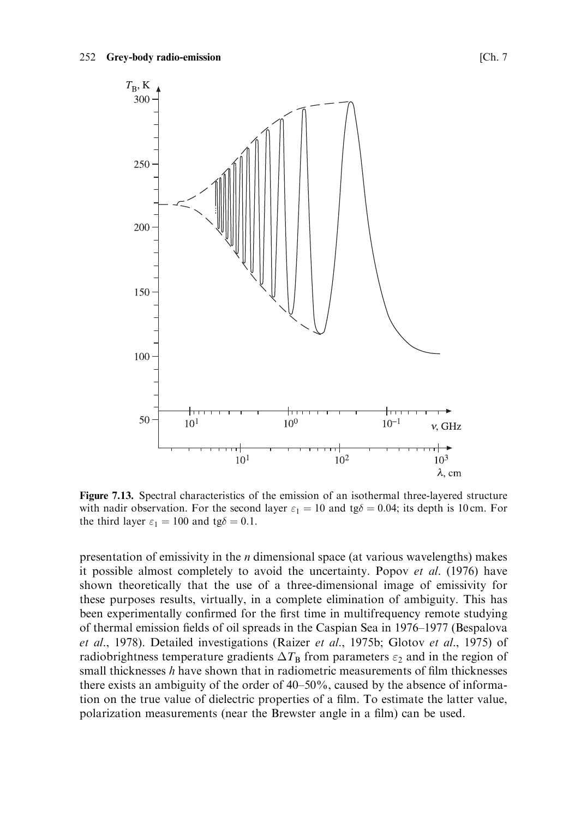

Figure 7.13. Spectral characteristics of the emission of an isothermal three-layered structure with nadir observation. For the second layer  $\varepsilon_1 = 10$  and tg $\delta = 0.04$ ; its depth is 10 cm. For the third layer  $\varepsilon_1 = 100$  and tg $\delta = 0.1$ .

presentation of emissivity in the  $n$  dimensional space (at various wavelengths) makes it possible almost completely to avoid the uncertainty. Popov et al. (1976) have shown theoretically that the use of a three-dimensional image of emissivity for these purposes results, virtually, in a complete elimination of ambiguity. This has been experimentally confirmed for the first time in multifrequency remote studying of thermal emission fields of oil spreads in the Caspian Sea in 1976–1977 (Bespalova et al., 1978). Detailed investigations (Raizer et al., 1975b; Glotov et al., 1975) of radiobrightness temperature gradients  $\Delta T_{\rm B}$  from parameters  $\varepsilon_2$  and in the region of small thicknesses  $h$  have shown that in radiometric measurements of film thicknesses there exists an ambiguity of the order of 40–50%, caused by the absence of information on the true value of dielectric properties of a film. To estimate the latter value, polarization measurements (near the Brewster angle in a film) can be used.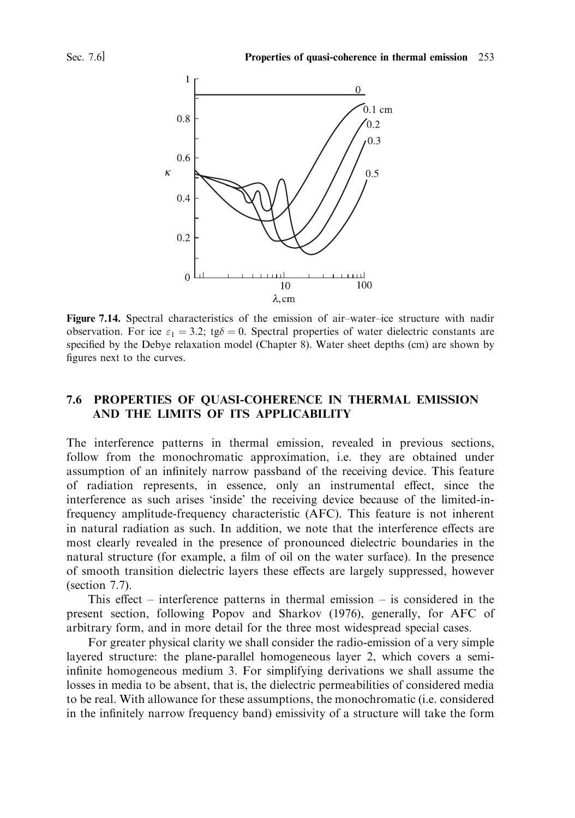

Figure 7.14. Spectral characteristics of the emission of air-water-ice structure with nadir observation. For ice  $\varepsilon_1 = 3.2$ ; tg $\delta = 0$ . Spectral properties of water dielectric constants are specified by the Debye relaxation model (Chapter 8). Water sheet depths (cm) are shown by figures next to the curves.

### 7.6 PROPERTIES OF QUASI-COHERENCE IN THERMAL EMISSION AND THE LIMITS OF ITS APPLICABILITY

The interference patterns in thermal emission, revealed in previous sections, follow from the monochromatic approximation, i.e. they are obtained under assumption of an infinitely narrow passband of the receiving device. This feature of radiation represents, in essence, only an instrumental effect, since the interference as such arises 'inside' the receiving device because of the limited-infrequency amplitude-frequency characteristic (AFC). This feature is not inherent in natural radiation as such. In addition, we note that the interference effects are most clearly revealed in the presence of pronounced dielectric boundaries in the natural structure (for example, a film of oil on the water surface). In the presence of smooth transition dielectric layers these effects are largely suppressed, however (section  $7.7$ ).

This effect – interference patterns in thermal emission – is considered in the present section, following Popov and Sharkov (1976), generally, for AFC of arbitrary form, and in more detail for the three most widespread special cases.

For greater physical clarity we shall consider the radio-emission of a very simple layered structure: the plane-parallel homogeneous layer 2, which covers a semiinfinite homogeneous medium 3. For simplifying derivations we shall assume the losses in media to be absent, that is, the dielectric permeabilities of considered media to be real. With allowance for these assumptions, the monochromatic (i.e. considered in the infinitely narrow frequency band) emissivity of a structure will take the form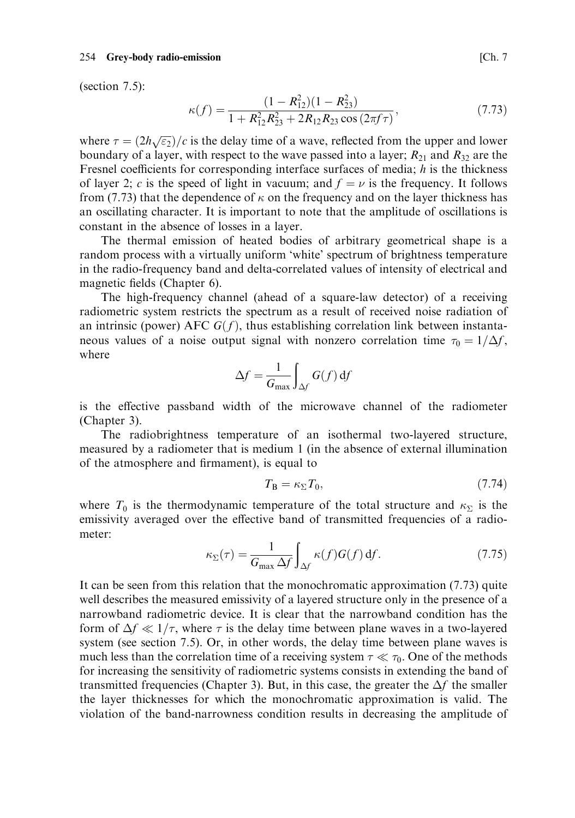### 254 Grey-body radio-emission

(section  $7.5$ ):

$$
\kappa(f) = \frac{(1 - R_{12}^2)(1 - R_{23}^2)}{1 + R_{12}^2 R_{23}^2 + 2R_{12}R_{23}\cos\left(2\pi f\tau\right)},\tag{7.73}
$$

where  $\tau = (2h\sqrt{\epsilon_2})/c$  is the delay time of a wave, reflected from the upper and lower boundary of a layer, with respect to the wave passed into a layer;  $R_{21}$  and  $R_{32}$  are the Fresnel coefficients for corresponding interface surfaces of media;  $h$  is the thickness of layer 2; c is the speed of light in vacuum; and  $f = \nu$  is the frequency. It follows from (7.73) that the dependence of  $\kappa$  on the frequency and on the layer thickness has an oscillating character. It is important to note that the amplitude of oscillations is constant in the absence of losses in a layer.

The thermal emission of heated bodies of arbitrary geometrical shape is a random process with a virtually uniform 'white' spectrum of brightness temperature in the radio-frequency band and delta-correlated values of intensity of electrical and magnetic fields (Chapter 6).

The high-frequency channel (ahead of a square-law detector) of a receiving radiometric system restricts the spectrum as a result of received noise radiation of an intrinsic (power) AFC  $G(f)$ , thus establishing correlation link between instantaneous values of a noise output signal with nonzero correlation time  $\tau_0 = 1/\Delta f$ , where

$$
\Delta f = \frac{1}{G_{\text{max}}} \int_{\Delta f} G(f) \, df
$$

is the effective passband width of the microwave channel of the radiometer (Chapter 3).

The radiobrightness temperature of an isothermal two-layered structure, measured by a radiometer that is medium 1 (in the absence of external illumination of the atmosphere and firmament), is equal to

$$
T_{\rm B} = \kappa_{\Sigma} T_0,\tag{7.74}
$$

where  $T_0$  is the thermodynamic temperature of the total structure and  $\kappa_{\Sigma}$  is the emissivity averaged over the effective band of transmitted frequencies of a radiometer:

$$
\kappa_{\Sigma}(\tau) = \frac{1}{G_{\text{max}} \,\Delta f} \int_{\Delta f} \kappa(f) G(f) \,\mathrm{d} f. \tag{7.75}
$$

It can be seen from this relation that the monochromatic approximation  $(7.73)$  quite well describes the measured emissivity of a layered structure only in the presence of a narrowband radiometric device. It is clear that the narrowband condition has the form of  $\Delta f \ll 1/\tau$ , where  $\tau$  is the delay time between plane waves in a two-layered system (see section 7.5). Or, in other words, the delay time between plane waves is much less than the correlation time of a receiving system  $\tau \ll \tau_0$ . One of the methods for increasing the sensitivity of radiometric systems consists in extending the band of transmitted frequencies (Chapter 3). But, in this case, the greater the  $\Delta f$  the smaller the layer thicknesses for which the monochromatic approximation is valid. The violation of the band-narrowness condition results in decreasing the amplitude of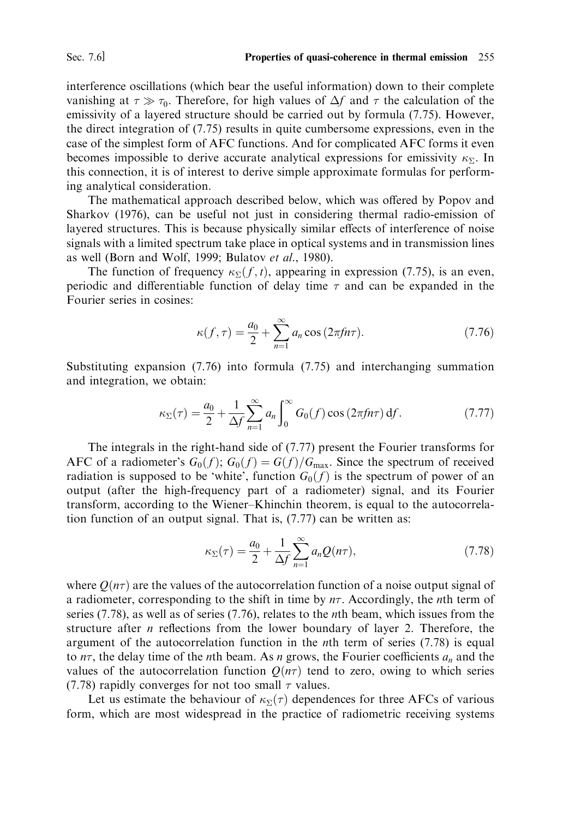interference oscillations (which bear the useful information) down to their complete vanishing at  $\tau \gg \tau_0$ . Therefore, for high values of  $\Delta f$  and  $\tau$  the calculation of the emissivity of a layered structure should be carried out by formula (7.75). However, the direct integration of (7.75) results in quite cumbersome expressions, even in the case of the simplest form of AFC functions. And for complicated AFC forms it even becomes impossible to derive accurate analytical expressions for emissivity  $\kappa_{\Sigma}$ . In this connection, it is of interest to derive simple approximate formulas for performing analytical consideration.

The mathematical approach described below, which was offered by Popov and Sharkov (1976), can be useful not just in considering thermal radio-emission of layered structures. This is because physically similar effects of interference of noise signals with a limited spectrum take place in optical systems and in transmission lines as well (Born and Wolf, 1999; Bulatov et al., 1980).

The function of frequency  $\kappa_{\Sigma}(f, t)$ , appearing in expression (7.75), is an even, periodic and differentiable function of delay time  $\tau$  and can be expanded in the Fourier series in cosines:

$$
\kappa(f,\tau) = \frac{a_0}{2} + \sum_{n=1}^{\infty} a_n \cos(2\pi f n \tau). \tag{7.76}
$$

Substituting expansion  $(7.76)$  into formula  $(7.75)$  and interchanging summation and integration, we obtain:

$$
\kappa_{\Sigma}(\tau) = \frac{a_0}{2} + \frac{1}{\Delta f} \sum_{n=1}^{\infty} a_n \int_0^{\infty} G_0(f) \cos\left(2\pi f n \tau\right) \mathrm{d}f. \tag{7.77}
$$

The integrals in the right-hand side of  $(7.77)$  present the Fourier transforms for AFC of a radiometer's  $G_0(f)$ ;  $G_0(f) = G(f)/G_{\text{max}}$ . Since the spectrum of received radiation is supposed to be 'white', function  $G_0(f)$  is the spectrum of power of an output (after the high-frequency part of a radiometer) signal, and its Fourier transform, according to the Wiener–Khinchin theorem, is equal to the autocorrelation function of an output signal. That is, (7.77) can be written as:

$$
\kappa_{\Sigma}(\tau) = \frac{a_0}{2} + \frac{1}{\Delta f} \sum_{n=1}^{\infty} a_n Q(n\tau), \qquad (7.78)
$$

where  $O(n\tau)$  are the values of the autocorrelation function of a noise output signal of a radiometer, corresponding to the shift in time by  $n\tau$ . Accordingly, the *n*th term of series  $(7.78)$ , as well as of series  $(7.76)$ , relates to the *n*th beam, which issues from the structure after  $n$  reflections from the lower boundary of layer 2. Therefore, the argument of the autocorrelation function in the *n*th term of series (7.78) is equal to  $n\tau$ , the delay time of the *n*th beam. As *n* grows, the Fourier coefficients  $a_n$  and the values of the autocorrelation function  $Q(n\tau)$  tend to zero, owing to which series (7.78) rapidly converges for not too small  $\tau$  values.

Let us estimate the behaviour of  $\kappa_{\Sigma}(\tau)$  dependences for three AFCs of various form, which are most widespread in the practice of radiometric receiving systems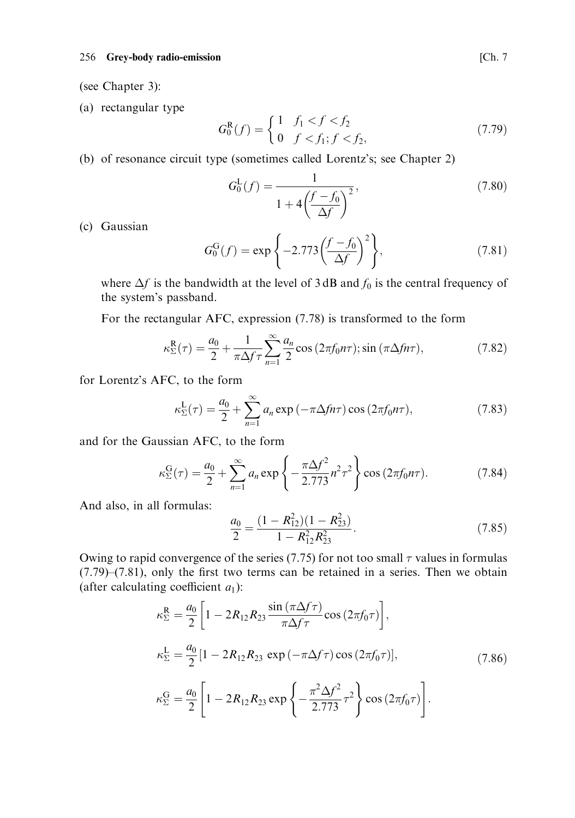## 256 Grey-body radio-emission

(see Chapter 3):

(a) rectangular type

$$
G_0^{\mathsf{R}}(f) = \begin{cases} 1 & f_1 < f < f_2 \\ 0 & f < f_1; f < f_2, \end{cases}
$$
(7.79)

(b) of resonance circuit type (sometimes called Lorentz's; see Chapter 2)

$$
G_0^{\mathcal{L}}(f) = \frac{1}{1 + 4\left(\frac{f - f_0}{\Delta f}\right)^2},\tag{7.80}
$$

(c) Gaussian

$$
G_0^{\text{G}}(f) = \exp\left\{-2.773\left(\frac{f - f_0}{\Delta f}\right)^2\right\},\tag{7.81}
$$

where  $\Delta f$  is the bandwidth at the level of 3 dB and  $f_0$  is the central frequency of the system's passband.

For the rectangular AFC, expression (7.78) is transformed to the form

$$
\kappa_{\Sigma}^{\mathcal{R}}(\tau) = \frac{a_0}{2} + \frac{1}{\pi \Delta f \tau} \sum_{n=1}^{\infty} \frac{a_n}{2} \cos\left(2\pi f_0 n \tau\right); \sin\left(\pi \Delta f n \tau\right),\tag{7.82}
$$

for Lorentz's AFC, to the form

$$
\kappa_{\Sigma}^{\mathcal{L}}(\tau) = \frac{a_0}{2} + \sum_{n=1}^{\infty} a_n \exp\left(-\pi \Delta f n \tau\right) \cos\left(2\pi f_0 n \tau\right),\tag{7.83}
$$

and for the Gaussian AFC, to the form

$$
\kappa_{\Sigma}^{\text{G}}(\tau) = \frac{a_0}{2} + \sum_{n=1}^{\infty} a_n \exp\left\{-\frac{\pi \Delta f^2}{2.773} n^2 \tau^2\right\} \cos\left(2\pi f_0 n \tau\right). \tag{7.84}
$$

And also, in all formulas:

$$
\frac{a_0}{2} = \frac{(1 - R_{12}^2)(1 - R_{23}^2)}{1 - R_{12}^2 R_{23}^2}.
$$
\n(7.85)

Owing to rapid convergence of the series (7.75) for not too small  $\tau$  values in formulas  $(7.79)$ – $(7.81)$ , only the first two terms can be retained in a series. Then we obtain (after calculating coefficient  $a_1$ ):

$$
\kappa_{\Sigma}^{\text{R}} = \frac{a_0}{2} \left[ 1 - 2R_{12}R_{23} \frac{\sin(\pi \Delta f \tau)}{\pi \Delta f \tau} \cos(2\pi f_0 \tau) \right],
$$
  
\n
$$
\kappa_{\Sigma}^{\text{L}} = \frac{a_0}{2} \left[ 1 - 2R_{12}R_{23} \exp(-\pi \Delta f \tau) \cos(2\pi f_0 \tau) \right],
$$
  
\n
$$
\kappa_{\Sigma}^{\text{G}} = \frac{a_0}{2} \left[ 1 - 2R_{12}R_{23} \exp\left\{ -\frac{\pi^2 \Delta f^2}{2.773} \tau^2 \right\} \cos(2\pi f_0 \tau) \right].
$$
\n(7.86)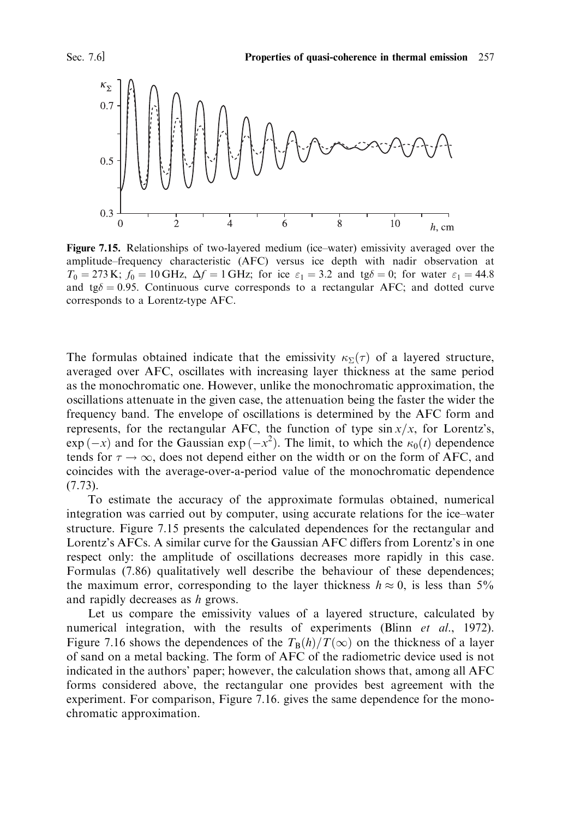

Figure 7.15. Relationships of two-layered medium (ice-water) emissivity averaged over the amplitude-frequency characteristic (AFC) versus ice depth with nadir observation at  $T_0 = 273$  K;  $f_0 = 10$  GHz,  $\Delta f = 1$  GHz; for ice  $\varepsilon_1 = 3.2$  and tg $\delta = 0$ ; for water  $\varepsilon_1 = 44.8$ and tg $\delta = 0.95$ . Continuous curve corresponds to a rectangular AFC; and dotted curve corresponds to a Lorentz-type AFC.

The formulas obtained indicate that the emissivity  $\kappa_{\Sigma}(\tau)$  of a layered structure, averaged over AFC, oscillates with increasing layer thickness at the same period as the monochromatic one. However, unlike the monochromatic approximation, the oscillations attenuate in the given case, the attenuation being the faster the wider the frequency band. The envelope of oscillations is determined by the AFC form and represents, for the rectangular AFC, the function of type  $\sin x/x$ , for Lorentz's,  $\exp(-x)$  and for the Gaussian  $\exp(-x^2)$ . The limit, to which the  $\kappa_0(t)$  dependence tends for  $\tau \to \infty$ , does not depend either on the width or on the form of AFC, and coincides with the average-over-a-period value of the monochromatic dependence  $(7.73)$ .

To estimate the accuracy of the approximate formulas obtained, numerical integration was carried out by computer, using accurate relations for the ice-water structure. Figure 7.15 presents the calculated dependences for the rectangular and Lorentz's AFCs. A similar curve for the Gaussian AFC differs from Lorentz's in one respect only: the amplitude of oscillations decreases more rapidly in this case. Formulas (7.86) qualitatively well describe the behaviour of these dependences; the maximum error, corresponding to the layer thickness  $h \approx 0$ , is less than 5% and rapidly decreases as h grows.

Let us compare the emissivity values of a layered structure, calculated by numerical integration, with the results of experiments (Blinn et al., 1972). Figure 7.16 shows the dependences of the  $T_B(h)/T(\infty)$  on the thickness of a layer of sand on a metal backing. The form of AFC of the radiometric device used is not indicated in the authors' paper; however, the calculation shows that, among all AFC forms considered above, the rectangular one provides best agreement with the experiment. For comparison, Figure 7.16. gives the same dependence for the monochromatic approximation.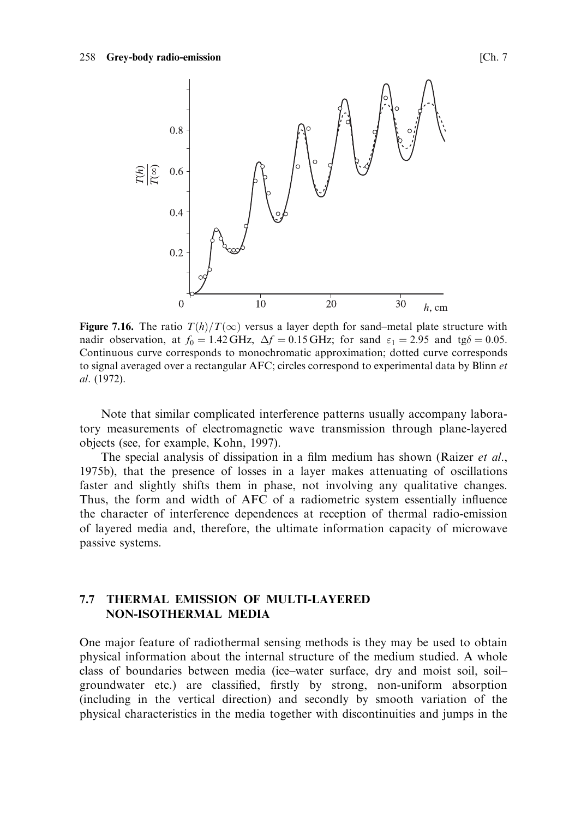

Figure 7.16. The ratio  $T(h)/T(\infty)$  versus a layer depth for sand-metal plate structure with nadir observation, at  $f_0 = 1.42 \text{ GHz}$ ,  $\Delta f = 0.15 \text{ GHz}$ ; for sand  $\varepsilon_1 = 2.95$  and tg $\delta = 0.05$ . Continuous curve corresponds to monochromatic approximation; dotted curve corresponds to signal averaged over a rectangular AFC; circles correspond to experimental data by Blinn et al. (1972).

Note that similar complicated interference patterns usually accompany laboratory measurements of electromagnetic wave transmission through plane-layered objects (see, for example, Kohn, 1997).

The special analysis of dissipation in a film medium has shown (Raizer et al., 1975b), that the presence of losses in a layer makes attenuating of oscillations faster and slightly shifts them in phase, not involving any qualitative changes. Thus, the form and width of AFC of a radiometric system essentially influence the character of interference dependences at reception of thermal radio-emission of layered media and, therefore, the ultimate information capacity of microwave passive systems.

### $7.7$ THERMAL EMISSION OF MULTI-LAYERED **NON-ISOTHERMAL MEDIA**

One major feature of radiothermal sensing methods is they may be used to obtain physical information about the internal structure of the medium studied. A whole class of boundaries between media (ice-water surface, dry and moist soil, soilgroundwater etc.) are classified, firstly by strong, non-uniform absorption (including in the vertical direction) and secondly by smooth variation of the physical characteristics in the media together with discontinuities and jumps in the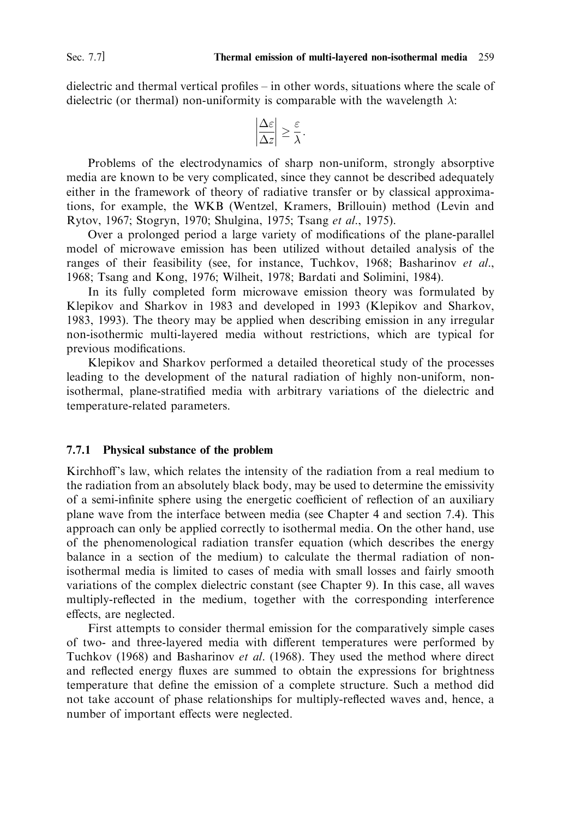dielectric and thermal vertical profiles  $-$  in other words, situations where the scale of dielectric (or thermal) non-uniformity is comparable with the wavelength  $\lambda$ :

$$
\left|\frac{\Delta\varepsilon}{\Delta z}\right| \geq \frac{\varepsilon}{\lambda}.
$$

Problems of the electrodynamics of sharp non-uniform, strongly absorptive media are known to be very complicated, since they cannot be described adequately either in the framework of theory of radiative transfer or by classical approximations, for example, the WKB (Wentzel, Kramers, Brillouin) method (Levin and Rytov, 1967; Stogryn, 1970; Shulgina, 1975; Tsang et al., 1975).

Over a prolonged period a large variety of modifications of the plane-parallel model of microwave emission has been utilized without detailed analysis of the ranges of their feasibility (see, for instance, Tuchkov, 1968; Basharinov et al., 1968; Tsang and Kong, 1976; Wilheit, 1978; Bardati and Solimini, 1984).

In its fully completed form microwave emission theory was formulated by Klepikov and Sharkov in 1983 and developed in 1993 (Klepikov and Sharkov, 1983, 1993). The theory may be applied when describing emission in any irregular non-isothermic multi-layered media without restrictions, which are typical for previous modifications.

Klepikov and Sharkov performed a detailed theoretical study of the processes leading to the development of the natural radiation of highly non-uniform, nonisothermal, plane-stratified media with arbitrary variations of the dielectric and temperature-related parameters.

## 7.7.1 Physical substance of the problem

Kirchhoff's law, which relates the intensity of the radiation from a real medium to the radiation from an absolutely black body, may be used to determine the emissivity of a semi-infinite sphere using the energetic coefficient of reflection of an auxiliary plane wave from the interface between media (see Chapter 4 and section 7.4). This approach can only be applied correctly to isothermal media. On the other hand, use of the phenomenological radiation transfer equation (which describes the energy balance in a section of the medium) to calculate the thermal radiation of nonisothermal media is limited to cases of media with small losses and fairly smooth variations of the complex dielectric constant (see Chapter 9). In this case, all waves multiply-reflected in the medium, together with the corresponding interference effects, are neglected.

First attempts to consider thermal emission for the comparatively simple cases of two- and three-layered media with different temperatures were performed by Tuchkov (1968) and Basharinov et al. (1968). They used the method where direct and reflected energy fluxes are summed to obtain the expressions for brightness temperature that define the emission of a complete structure. Such a method did not take account of phase relationships for multiply-reflected waves and, hence, a number of important effects were neglected.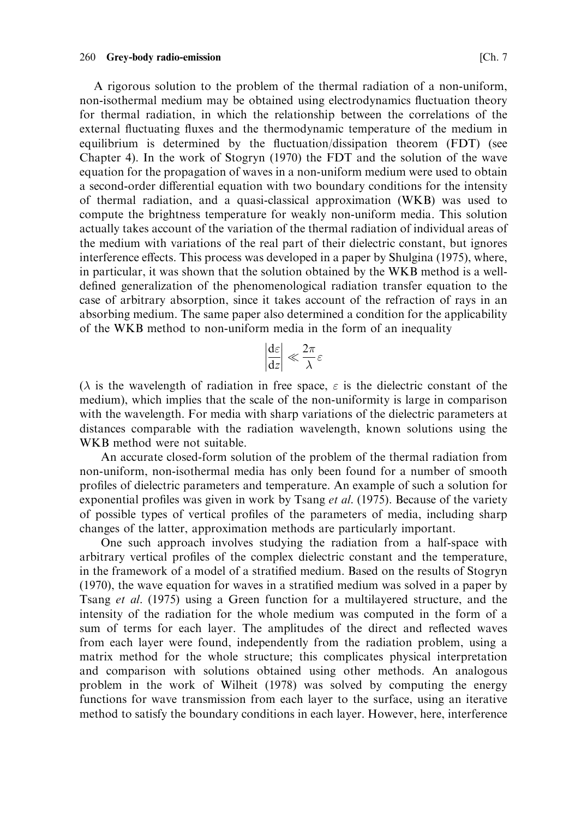260 Grey-body radio-emission

A rigorous solution to the problem of the thermal radiation of a non-uniform, non-isothermal medium may be obtained using electrodynamics fluctuation theory for thermal radiation, in which the relationship between the correlations of the external fluctuating fluxes and the thermodynamic temperature of the medium in equilibrium is determined by the fluctuation/dissipation theorem (FDT) (see Chapter 4). In the work of Stogryn (1970) the FDT and the solution of the wave equation for the propagation of waves in a non-uniform medium were used to obtain a second-order differential equation with two boundary conditions for the intensity of thermal radiation, and a quasi-classical approximation (WKB) was used to compute the brightness temperature for weakly non-uniform media. This solution actually takes account of the variation of the thermal radiation of individual areas of the medium with variations of the real part of their dielectric constant, but ignores interference effects. This process was developed in a paper by Shulgina (1975), where, in particular, it was shown that the solution obtained by the WKB method is a welldefined generalization of the phenomenological radiation transfer equation to the case of arbitrary absorption, since it takes account of the refraction of rays in an absorbing medium. The same paper also determined a condition for the applicability of the WKB method to non-uniform media in the form of an inequality

$$
\left|\frac{\mathrm{d}\varepsilon}{\mathrm{d}z}\right| \ll \frac{2\pi}{\lambda}\varepsilon
$$

( $\lambda$  is the wavelength of radiation in free space,  $\varepsilon$  is the dielectric constant of the medium), which implies that the scale of the non-uniformity is large in comparison with the wavelength. For media with sharp variations of the dielectric parameters at distances comparable with the radiation wavelength, known solutions using the WKB method were not suitable.

An accurate closed-form solution of the problem of the thermal radiation from non-uniform, non-isothermal media has only been found for a number of smooth profiles of dielectric parameters and temperature. An example of such a solution for exponential profiles was given in work by Tsang *et al.* (1975). Because of the variety of possible types of vertical profiles of the parameters of media, including sharp changes of the latter, approximation methods are particularly important.

One such approach involves studying the radiation from a half-space with arbitrary vertical profiles of the complex dielectric constant and the temperature, in the framework of a model of a stratified medium. Based on the results of Stogryn (1970), the wave equation for waves in a stratified medium was solved in a paper by Tsang et al. (1975) using a Green function for a multilayered structure, and the intensity of the radiation for the whole medium was computed in the form of a sum of terms for each layer. The amplitudes of the direct and reflected waves from each layer were found, independently from the radiation problem, using a matrix method for the whole structure; this complicates physical interpretation and comparison with solutions obtained using other methods. An analogous problem in the work of Wilheit (1978) was solved by computing the energy functions for wave transmission from each layer to the surface, using an iterative method to satisfy the boundary conditions in each layer. However, here, interference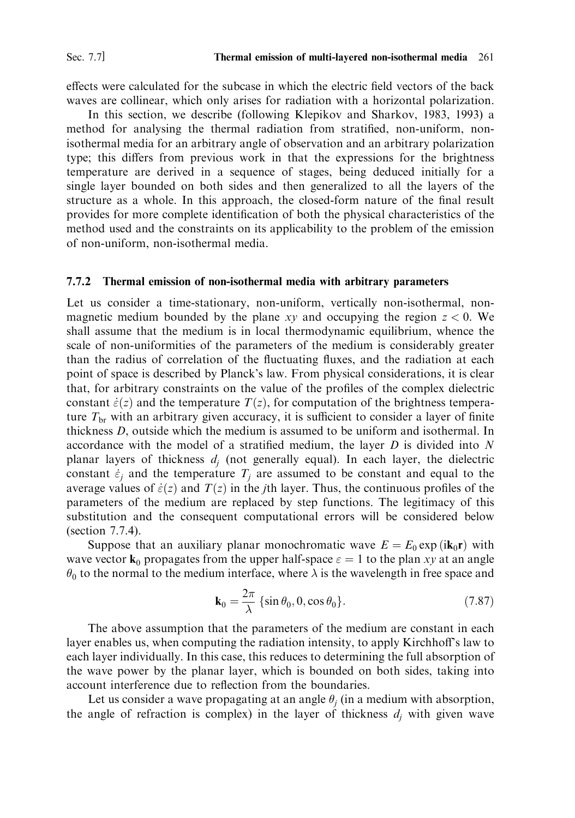effects were calculated for the subcase in which the electric field vectors of the back waves are collinear, which only arises for radiation with a horizontal polarization.

In this section, we describe (following Klepikov and Sharkov, 1983, 1993) a method for analysing the thermal radiation from stratified, non-uniform, nonisothermal media for an arbitrary angle of observation and an arbitrary polarization type; this differs from previous work in that the expressions for the brightness temperature are derived in a sequence of stages, being deduced initially for a single layer bounded on both sides and then generalized to all the layers of the structure as a whole. In this approach, the closed-form nature of the final result provides for more complete identification of both the physical characteristics of the method used and the constraints on its applicability to the problem of the emission of non-uniform, non-isothermal media.

#### 7.7.2 Thermal emission of non-isothermal media with arbitrary parameters

Let us consider a time-stationary, non-uniform, vertically non-isothermal, nonmagnetic medium bounded by the plane xy and occupying the region  $z < 0$ . We shall assume that the medium is in local thermodynamic equilibrium, whence the scale of non-uniformities of the parameters of the medium is considerably greater than the radius of correlation of the fluctuating fluxes, and the radiation at each point of space is described by Planck's law. From physical considerations, it is clear that, for arbitrary constraints on the value of the profiles of the complex dielectric constant  $\dot{\varepsilon}(z)$  and the temperature  $T(z)$ , for computation of the brightness temperature  $T_{\rm br}$  with an arbitrary given accuracy, it is sufficient to consider a layer of finite thickness D, outside which the medium is assumed to be uniform and isothermal. In accordance with the model of a stratified medium, the layer  $D$  is divided into  $N$ planar layers of thickness  $d_i$  (not generally equal). In each layer, the dielectric constant  $\dot{\varepsilon}_i$  and the temperature  $T_i$  are assumed to be constant and equal to the average values of  $\dot{\varepsilon}(z)$  and  $T(z)$  in the *j*th layer. Thus, the continuous profiles of the parameters of the medium are replaced by step functions. The legitimacy of this substitution and the consequent computational errors will be considered below (section  $7.7.4$ ).

Suppose that an auxiliary planar monochromatic wave  $E = E_0 \exp(i\mathbf{k}_0 \mathbf{r})$  with wave vector  $\mathbf{k}_0$  propagates from the upper half-space  $\varepsilon = 1$  to the plan xy at an angle  $\theta_0$  to the normal to the medium interface, where  $\lambda$  is the wavelength in free space and

$$
\mathbf{k}_0 = \frac{2\pi}{\lambda} \left\{ \sin \theta_0, 0, \cos \theta_0 \right\}.
$$
 (7.87)

The above assumption that the parameters of the medium are constant in each layer enables us, when computing the radiation intensity, to apply Kirchhoff's law to each layer individually. In this case, this reduces to determining the full absorption of the wave power by the planar layer, which is bounded on both sides, taking into account interference due to reflection from the boundaries.

Let us consider a wave propagating at an angle  $\theta_i$  (in a medium with absorption, the angle of refraction is complex) in the layer of thickness  $d_i$  with given wave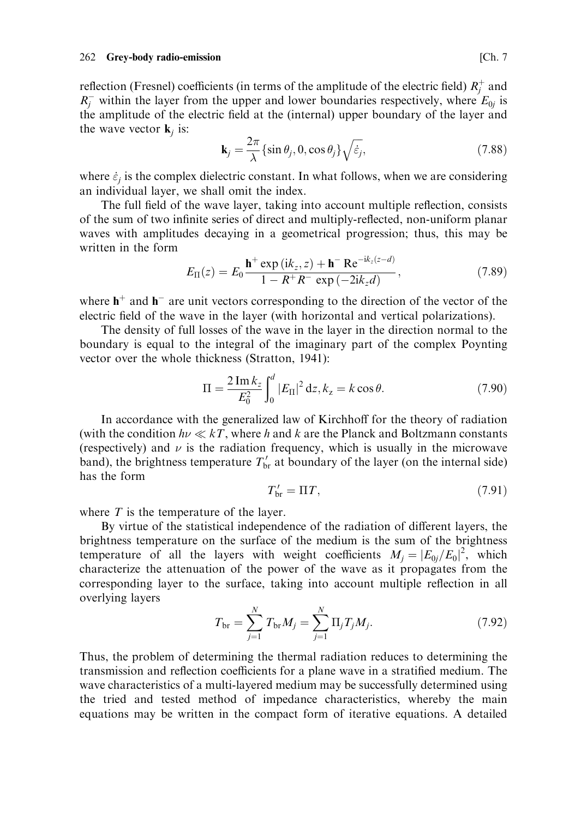reflection (Fresnel) coefficients (in terms of the amplitude of the electric field)  $R_i^+$  and  $R_1^-$  within the layer from the upper and lower boundaries respectively, where  $E_{0i}$  is the amplitude of the electric field at the (internal) upper boundary of the layer and the wave vector  $\mathbf{k}_i$  is:

$$
\mathbf{k}_{j} = \frac{2\pi}{\lambda} \left\{ \sin \theta_{j}, 0, \cos \theta_{j} \right\} \sqrt{\dot{\varepsilon}_{j}},\tag{7.88}
$$

where  $\dot{\varepsilon}_i$  is the complex dielectric constant. In what follows, when we are considering an individual layer, we shall omit the index.

The full field of the wave layer, taking into account multiple reflection, consists of the sum of two infinite series of direct and multiply-reflected, non-uniform planar waves with amplitudes decaying in a geometrical progression; thus, this may be written in the form

$$
E_{\Pi}(z) = E_0 \frac{\mathbf{h}^+ \exp(i k_z, z) + \mathbf{h}^- \operatorname{Re}^{-i k_z (z - d)}}{1 - R^+ R^- \exp(-2i k_z d)},
$$
(7.89)

where  $h^+$  and  $h^-$  are unit vectors corresponding to the direction of the vector of the electric field of the wave in the layer (with horizontal and vertical polarizations).

The density of full losses of the wave in the layer in the direction normal to the boundary is equal to the integral of the imaginary part of the complex Poynting vector over the whole thickness (Stratton, 1941):

$$
\Pi = \frac{2 \operatorname{Im} k_z}{E_0^2} \int_0^d |E_{\Pi}|^2 \, \mathrm{d}z, k_z = k \cos \theta. \tag{7.90}
$$

In accordance with the generalized law of Kirchhoff for the theory of radiation (with the condition  $h\nu \ll kT$ , where h and k are the Planck and Boltzmann constants (respectively) and  $\nu$  is the radiation frequency, which is usually in the microwave band), the brightness temperature  $T'_{\text{br}}$  at boundary of the layer (on the internal side) has the form

$$
T'_{\rm br} = \Pi T,\tag{7.91}
$$

where  $T$  is the temperature of the layer.

By virtue of the statistical independence of the radiation of different layers, the brightness temperature on the surface of the medium is the sum of the brightness temperature of all the layers with weight coefficients  $M_i = |E_{0i}/E_0|^2$ , which characterize the attenuation of the power of the wave as it propagates from the corresponding layer to the surface, taking into account multiple reflection in all overlying layers

$$
T_{\rm br} = \sum_{j=1}^{N} T_{\rm br} M_j = \sum_{j=1}^{N} \Pi_j T_j M_j.
$$
 (7.92)

Thus, the problem of determining the thermal radiation reduces to determining the transmission and reflection coefficients for a plane wave in a stratified medium. The wave characteristics of a multi-layered medium may be successfully determined using the tried and tested method of impedance characteristics, whereby the main equations may be written in the compact form of iterative equations. A detailed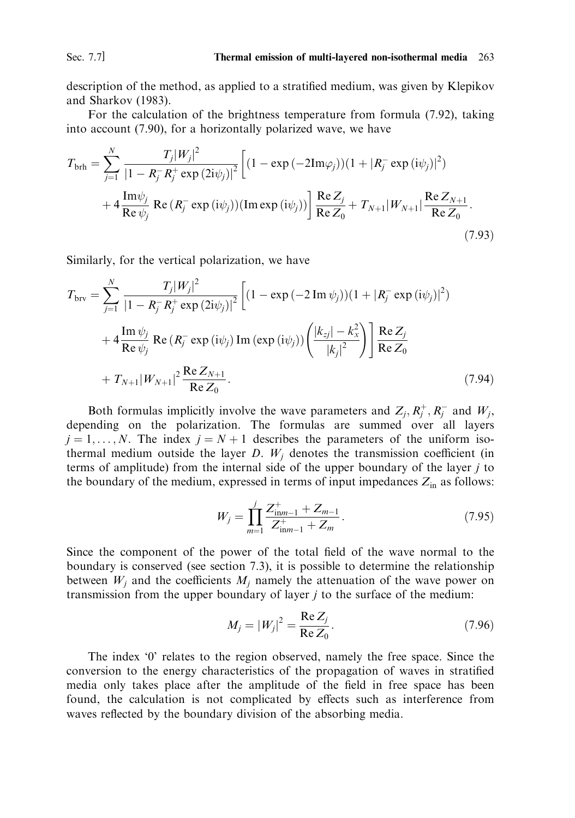Sec. 7.7]

description of the method, as applied to a stratified medium, was given by Klepikov and Sharkov (1983).

For the calculation of the brightness temperature from formula (7.92), taking into account (7.90), for a horizontally polarized wave, we have

$$
T_{\text{brh}} = \sum_{j=1}^{N} \frac{T_j |W_j|^2}{|1 - R_j^- R_j^+ \exp(2i\psi_j)|^2} \left[ (1 - \exp(-2\text{Im}\varphi_j))(1 + |R_j^- \exp(i\psi_j)|^2) + 4 \frac{\text{Im}\psi_j}{\text{Re}\psi_j} \operatorname{Re}(R_j^- \exp(i\psi_j)) (\text{Im}\exp(i\psi_j)) \right] \frac{\text{Re}\, Z_j}{\text{Re}\, Z_0} + T_{N+1} |W_{N+1}| \frac{\text{Re}\, Z_{N+1}}{\text{Re}\, Z_0}.
$$
\n(7.93)

Similarly, for the vertical polarization, we have

$$
T_{\text{brv}} = \sum_{j=1}^{N} \frac{T_j |W_j|^2}{|1 - R_j^- R_j^+ \exp(2i\psi_j)|^2} \left[ (1 - \exp(-2 \operatorname{Im} \psi_j))(1 + |R_j^- \exp(i\psi_j)|^2) + 4 \frac{\operatorname{Im} \psi_j}{\operatorname{Re} \psi_j} \operatorname{Re} (R_j^- \exp(i\psi_j) \operatorname{Im} (\exp(i\psi_j)) \left( \frac{|k_{zj}| - k_x^2}{|k_j|^2} \right) \right] \frac{\operatorname{Re} Z_j}{\operatorname{Re} Z_0} + T_{N+1} |W_{N+1}|^2 \frac{\operatorname{Re} Z_{N+1}}{\operatorname{Re} Z_0}.
$$
 (7.94)

Both formulas implicitly involve the wave parameters and  $Z_i, R_i^+, R_i^-$  and  $W_i$ , depending on the polarization. The formulas are summed over all layers  $i = 1, ..., N$ . The index  $i = N + 1$  describes the parameters of the uniform isothermal medium outside the layer  $D$ .  $W_i$  denotes the transmission coefficient (in terms of amplitude) from the internal side of the upper boundary of the layer  $j$  to the boundary of the medium, expressed in terms of input impedances  $Z_{in}$  as follows:

$$
W_j = \prod_{m=1}^{j} \frac{Z_{\text{in}m-1}^+ + Z_{m-1}}{Z_{\text{in}m-1}^+ + Z_m}.
$$
 (7.95)

Since the component of the power of the total field of the wave normal to the boundary is conserved (see section 7.3), it is possible to determine the relationship between  $W_i$  and the coefficients  $M_i$  namely the attenuation of the wave power on transmission from the upper boundary of layer  $j$  to the surface of the medium:

$$
M_j = |W_j|^2 = \frac{\text{Re } Z_j}{\text{Re } Z_0}.
$$
 (7.96)

The index '0' relates to the region observed, namely the free space. Since the conversion to the energy characteristics of the propagation of waves in stratified media only takes place after the amplitude of the field in free space has been found, the calculation is not complicated by effects such as interference from waves reflected by the boundary division of the absorbing media.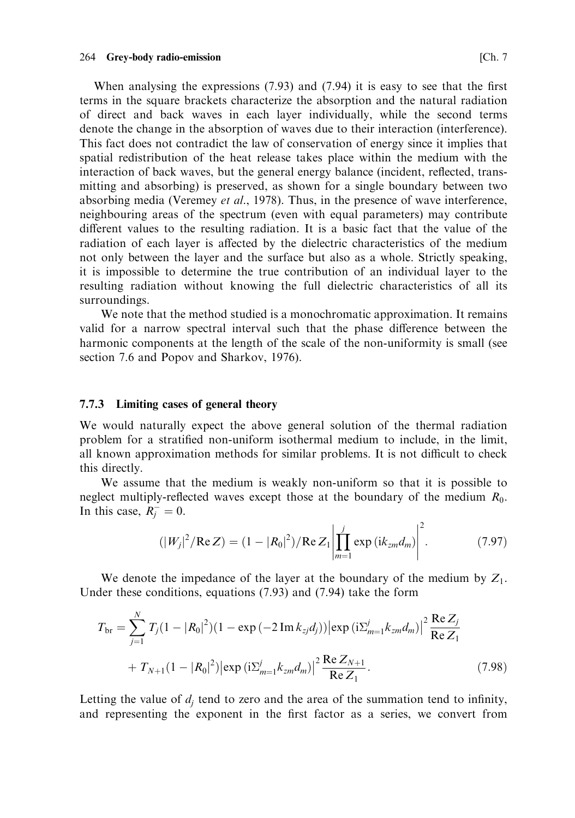When analysing the expressions  $(7.93)$  and  $(7.94)$  it is easy to see that the first terms in the square brackets characterize the absorption and the natural radiation of direct and back waves in each layer individually, while the second terms denote the change in the absorption of waves due to their interaction (interference). This fact does not contradict the law of conservation of energy since it implies that spatial redistribution of the heat release takes place within the medium with the interaction of back waves, but the general energy balance (incident, reflected, transmitting and absorbing) is preserved, as shown for a single boundary between two absorbing media (Veremey et al., 1978). Thus, in the presence of wave interference, neighbouring areas of the spectrum (even with equal parameters) may contribute different values to the resulting radiation. It is a basic fact that the value of the radiation of each layer is affected by the dielectric characteristics of the medium not only between the layer and the surface but also as a whole. Strictly speaking, it is impossible to determine the true contribution of an individual layer to the resulting radiation without knowing the full dielectric characteristics of all its surroundings.

We note that the method studied is a monochromatic approximation. It remains valid for a narrow spectral interval such that the phase difference between the harmonic components at the length of the scale of the non-uniformity is small (see section 7.6 and Popov and Sharkov, 1976).

## 7.7.3 Limiting cases of general theory

We would naturally expect the above general solution of the thermal radiation problem for a stratified non-uniform isothermal medium to include, in the limit. all known approximation methods for similar problems. It is not difficult to check this directly.

We assume that the medium is weakly non-uniform so that it is possible to neglect multiply-reflected waves except those at the boundary of the medium  $R_0$ . In this case,  $R_i^- = 0$ .

$$
(|W_j|^2 / \text{Re } Z) = (1 - |R_0|^2) / \text{Re } Z_1 \left| \prod_{m=1}^j \exp{(ik_{zm} d_m)} \right|^2. \tag{7.97}
$$

We denote the impedance of the layer at the boundary of the medium by  $Z_1$ . Under these conditions, equations  $(7.93)$  and  $(7.94)$  take the form

$$
T_{\text{br}} = \sum_{j=1}^{N} T_j (1 - |R_0|^2)(1 - \exp(-2 \operatorname{Im} k_{zj} d_j)) |\exp(i \Sigma_{m=1}^j k_{zm} d_m)|^2 \frac{\operatorname{Re} Z_j}{\operatorname{Re} Z_1} + T_{N+1} (1 - |R_0|^2) |\exp(i \Sigma_{m=1}^j k_{zm} d_m)|^2 \frac{\operatorname{Re} Z_{N+1}}{\operatorname{Re} Z_1}.
$$
 (7.98)

Letting the value of  $d_i$  tend to zero and the area of the summation tend to infinity, and representing the exponent in the first factor as a series, we convert from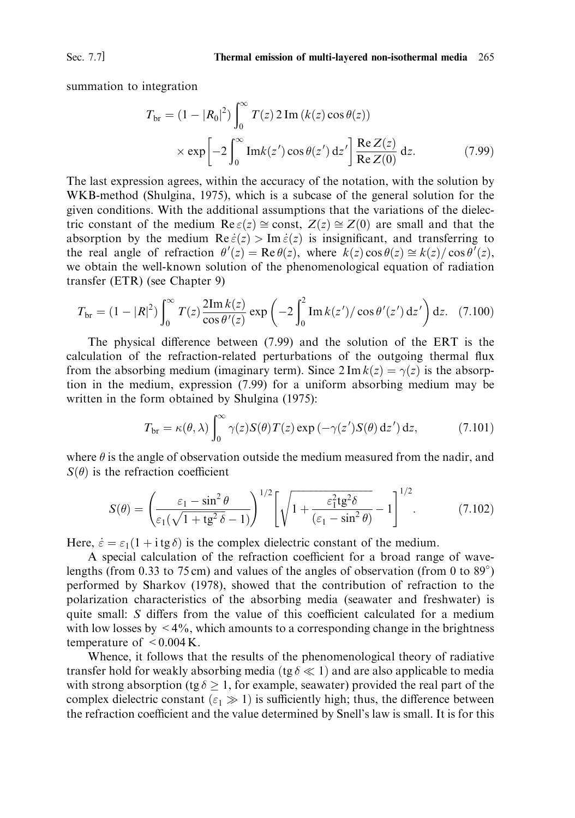summation to integration

$$
T_{\text{br}} = (1 - |R_0|^2) \int_0^\infty T(z) 2 \operatorname{Im} (k(z) \cos \theta(z))
$$
  
 
$$
\times \exp \left[ -2 \int_0^\infty \operatorname{Im} k(z') \cos \theta(z') dz' \right] \frac{\operatorname{Re} Z(z)}{\operatorname{Re} Z(0)} dz.
$$
 (7.99)

The last expression agrees, within the accuracy of the notation, with the solution by WKB-method (Shulgina, 1975), which is a subcase of the general solution for the given conditions. With the additional assumptions that the variations of the dielectric constant of the medium Re  $\varepsilon(z) \cong$  const,  $Z(z) \cong Z(0)$  are small and that the absorption by the medium  $\text{Re}\,\dot{\varepsilon}(z) > \text{Im}\,\dot{\varepsilon}(z)$  is insignificant, and transferring to the real angle of refraction  $\theta'(z) = \text{Re}\,\theta(z)$ , where  $k(z) \cos \theta(z) \approx k(z)/\cos \theta'(z)$ , we obtain the well-known solution of the phenomenological equation of radiation transfer (ETR) (see Chapter 9)

$$
T_{\rm br} = (1 - |R|^2) \int_0^\infty T(z) \frac{2 \text{Im } k(z)}{\cos \theta'(z)} \exp\left(-2 \int_0^2 \text{Im } k(z')/\cos \theta'(z') \, dz'\right) dz. \tag{7.100}
$$

The physical difference between (7.99) and the solution of the ERT is the calculation of the refraction-related perturbations of the outgoing thermal flux from the absorbing medium (imaginary term). Since  $2 \text{Im } k(z) = \gamma(z)$  is the absorption in the medium, expression  $(7.99)$  for a uniform absorbing medium may be written in the form obtained by Shulgina (1975):

$$
T_{\text{br}} = \kappa(\theta, \lambda) \int_0^\infty \gamma(z) S(\theta) T(z) \exp(-\gamma(z') S(\theta) dz') dz,
$$
 (7.101)

where  $\theta$  is the angle of observation outside the medium measured from the nadir, and  $S(\theta)$  is the refraction coefficient

$$
S(\theta) = \left(\frac{\varepsilon_1 - \sin^2 \theta}{\varepsilon_1(\sqrt{1 + \text{tg}^2 \delta} - 1)}\right)^{1/2} \left[\sqrt{1 + \frac{\varepsilon_1^2 \text{tg}^2 \delta}{(\varepsilon_1 - \sin^2 \theta)}} - 1\right]^{1/2}.
$$
 (7.102)

Here,  $\dot{\varepsilon} = \varepsilon_1 (1 + i \, t \, \varepsilon)$  is the complex dielectric constant of the medium.

A special calculation of the refraction coefficient for a broad range of wavelengths (from 0.33 to 75 cm) and values of the angles of observation (from 0 to  $89^{\circ}$ ) performed by Sharkov (1978), showed that the contribution of refraction to the polarization characteristics of the absorbing media (seawater and freshwater) is quite small: S differs from the value of this coefficient calculated for a medium with low losses by  $\leq 4\%$ , which amounts to a corresponding change in the brightness temperature of  $\leq 0.004$  K.

Whence, it follows that the results of the phenomenological theory of radiative transfer hold for weakly absorbing media (tg  $\delta \ll 1$ ) and are also applicable to media with strong absorption (tg  $\delta \geq 1$ , for example, seawater) provided the real part of the complex dielectric constant ( $\varepsilon_1 \gg 1$ ) is sufficiently high; thus, the difference between the refraction coefficient and the value determined by Snell's law is small. It is for this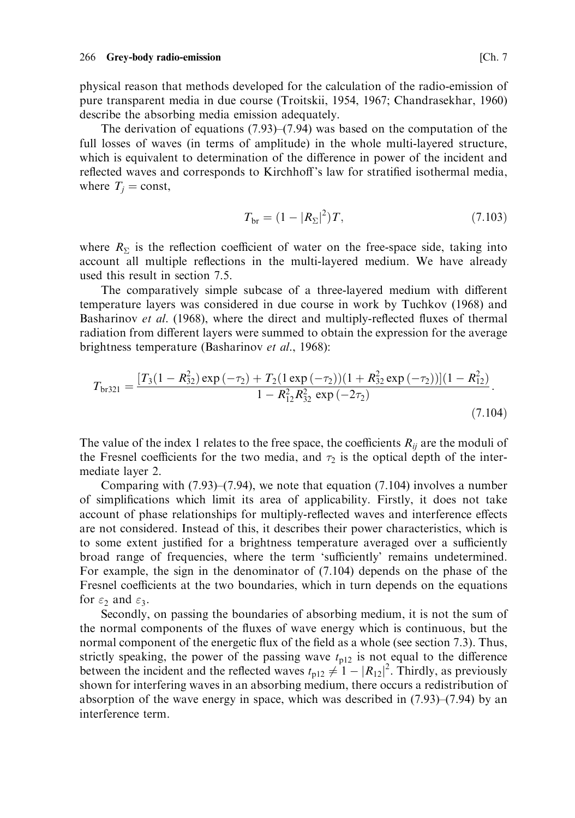physical reason that methods developed for the calculation of the radio-emission of pure transparent media in due course (Troitskii, 1954, 1967; Chandrasekhar, 1960) describe the absorbing media emission adequately.

The derivation of equations  $(7.93)$ – $(7.94)$  was based on the computation of the full losses of waves (in terms of amplitude) in the whole multi-layered structure, which is equivalent to determination of the difference in power of the incident and reflected waves and corresponds to Kirchhoff's law for stratified isothermal media, where  $T_i = \text{const}$ ,

$$
T_{\rm br} = (1 - |R_{\Sigma}|^2)T, \tag{7.103}
$$

where  $R_{\Sigma}$  is the reflection coefficient of water on the free-space side, taking into account all multiple reflections in the multi-layered medium. We have already used this result in section 7.5.

The comparatively simple subcase of a three-layered medium with different temperature layers was considered in due course in work by Tuchkov (1968) and Basharinov et al. (1968), where the direct and multiply-reflected fluxes of thermal radiation from different layers were summed to obtain the expression for the average brightness temperature (Basharinov et al., 1968):

$$
T_{\text{br321}} = \frac{[T_3(1 - R_{32}^2) \exp(-\tau_2) + T_2(1 \exp(-\tau_2))(1 + R_{32}^2 \exp(-\tau_2))](1 - R_{12}^2)}{1 - R_{12}^2 R_{32}^2 \exp(-2\tau_2)}.
$$
\n(7.104)

The value of the index 1 relates to the free space, the coefficients  $R_{ij}$  are the moduli of the Fresnel coefficients for the two media, and  $\tau_2$  is the optical depth of the intermediate layer 2.

Comparing with  $(7.93)$ – $(7.94)$ , we note that equation  $(7.104)$  involves a number of simplifications which limit its area of applicability. Firstly, it does not take account of phase relationships for multiply-reflected waves and interference effects are not considered. Instead of this, it describes their power characteristics, which is to some extent justified for a brightness temperature averaged over a sufficiently broad range of frequencies, where the term 'sufficiently' remains undetermined. For example, the sign in the denominator of  $(7.104)$  depends on the phase of the Fresnel coefficients at the two boundaries, which in turn depends on the equations for  $\varepsilon_2$  and  $\varepsilon_3$ .

Secondly, on passing the boundaries of absorbing medium, it is not the sum of the normal components of the fluxes of wave energy which is continuous, but the normal component of the energetic flux of the field as a whole (see section 7.3). Thus, strictly speaking, the power of the passing wave  $t_{p12}$  is not equal to the difference between the incident and the reflected waves  $t_{p12} \neq 1 - |R_{12}|^2$ . Thirdly, as previously shown for interfering waves in an absorbing medium, there occurs a redistribution of absorption of the wave energy in space, which was described in  $(7.93)$ – $(7.94)$  by an interference term.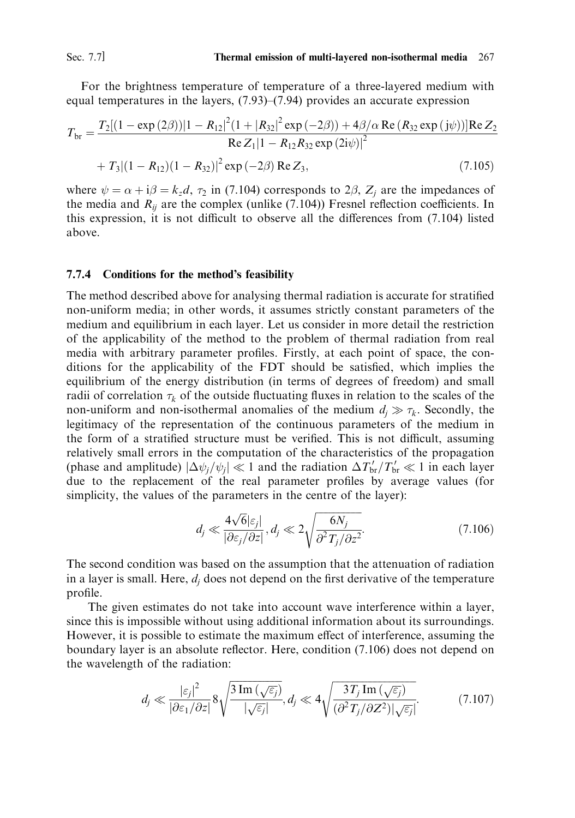For the brightness temperature of temperature of a three-layered medium with equal temperatures in the layers,  $(7.93)$ – $(7.94)$  provides an accurate expression

$$
T_{\rm br} = \frac{T_2[(1 - \exp{(2\beta)})|1 - R_{12}|^2(1 + |R_{32}|^2 \exp{(-2\beta)}) + 4\beta/\alpha \operatorname{Re}(R_{32} \exp{(j\psi)})]\operatorname{Re} Z_2}{\operatorname{Re} Z_1|1 - R_{12}R_{32} \exp{(2j\psi)}|^2} + T_3[(1 - R_{12})(1 - R_{32})|^2 \exp{(-2\beta)} \operatorname{Re} Z_3, \tag{7.105}
$$

where  $\psi = \alpha + i\beta = k_z d$ ,  $\tau_2$  in (7.104) corresponds to 2 $\beta$ ,  $Z_i$  are the impedances of the media and  $R_{ii}$  are the complex (unlike (7.104)) Fresnel reflection coefficients. In this expression, it is not difficult to observe all the differences from (7.104) listed above.

#### Conditions for the method's feasibility  $7.7.4$

The method described above for analysing thermal radiation is accurate for stratified non-uniform media; in other words, it assumes strictly constant parameters of the medium and equilibrium in each layer. Let us consider in more detail the restriction of the applicability of the method to the problem of thermal radiation from real media with arbitrary parameter profiles. Firstly, at each point of space, the conditions for the applicability of the FDT should be satisfied, which implies the equilibrium of the energy distribution (in terms of degrees of freedom) and small radii of correlation  $\tau_k$  of the outside fluctuating fluxes in relation to the scales of the non-uniform and non-isothermal anomalies of the medium  $d_i \gg \tau_k$ . Secondly, the legitimacy of the representation of the continuous parameters of the medium in the form of a stratified structure must be verified. This is not difficult, assuming relatively small errors in the computation of the characteristics of the propagation (phase and amplitude)  $|\Delta \psi_i / \psi_i| \ll 1$  and the radiation  $\Delta T'_{\rm br}/T'_{\rm br} \ll 1$  in each layer due to the replacement of the real parameter profiles by average values (for simplicity, the values of the parameters in the centre of the layer):

$$
d_j \ll \frac{4\sqrt{6}|\varepsilon_j|}{|\partial \varepsilon_j/\partial z|}, d_j \ll 2\sqrt{\frac{6N_j}{\partial^2 T_j/\partial z^2}}.
$$
\n(7.106)

The second condition was based on the assumption that the attenuation of radiation in a layer is small. Here,  $d_i$  does not depend on the first derivative of the temperature profile.

The given estimates do not take into account wave interference within a layer, since this is impossible without using additional information about its surroundings. However, it is possible to estimate the maximum effect of interference, assuming the boundary layer is an absolute reflector. Here, condition (7.106) does not depend on the wavelength of the radiation:

$$
d_j \ll \frac{|\varepsilon_j|^2}{|\partial \varepsilon_1/\partial z|} 8\sqrt{\frac{3\operatorname{Im}\left(\sqrt{\varepsilon_j}\right)}{|\sqrt{\varepsilon_j}|}}, d_j \ll 4\sqrt{\frac{3T_j\operatorname{Im}\left(\sqrt{\varepsilon_j}\right)}{(\partial^2 T_j/\partial Z^2)|\sqrt{\varepsilon_j}|}}.
$$
(7.107)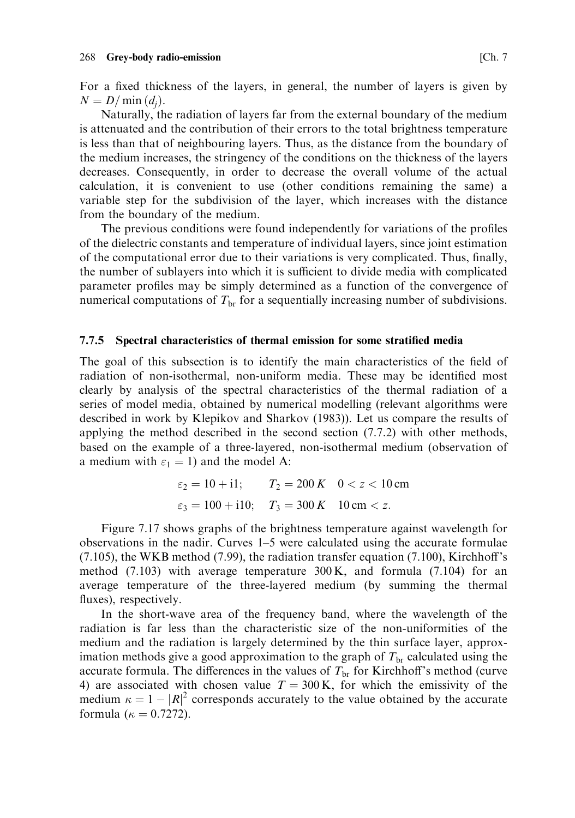For a fixed thickness of the layers, in general, the number of layers is given by  $N = D/\min(d_i)$ .

Naturally, the radiation of layers far from the external boundary of the medium is attenuated and the contribution of their errors to the total brightness temperature is less than that of neighbouring layers. Thus, as the distance from the boundary of the medium increases, the stringency of the conditions on the thickness of the layers decreases. Consequently, in order to decrease the overall volume of the actual calculation, it is convenient to use (other conditions remaining the same) a variable step for the subdivision of the layer, which increases with the distance from the boundary of the medium.

The previous conditions were found independently for variations of the profiles of the dielectric constants and temperature of individual layers, since joint estimation of the computational error due to their variations is very complicated. Thus, finally, the number of sublayers into which it is sufficient to divide media with complicated parameter profiles may be simply determined as a function of the convergence of numerical computations of  $T_{\rm br}$  for a sequentially increasing number of subdivisions.

#### Spectral characteristics of thermal emission for some stratified media 7.7.5

The goal of this subsection is to identify the main characteristics of the field of radiation of non-isothermal, non-uniform media. These may be identified most clearly by analysis of the spectral characteristics of the thermal radiation of a series of model media, obtained by numerical modelling (relevant algorithms were described in work by Klepikov and Sharkov (1983)). Let us compare the results of applying the method described in the second section  $(7.7.2)$  with other methods, based on the example of a three-layered, non-isothermal medium (observation of a medium with  $\varepsilon_1 = 1$ ) and the model A:

$$
\varepsilon_2 = 10 + i1;
$$
  $T_2 = 200 K$   $0 < z < 10 \text{ cm}$   
\n $\varepsilon_3 = 100 + i10;$   $T_3 = 300 K$   $10 \text{ cm} < z.$ 

Figure 7.17 shows graphs of the brightness temperature against wavelength for observations in the nadir. Curves  $1-5$  were calculated using the accurate formulae  $(7.105)$ , the WKB method  $(7.99)$ , the radiation transfer equation  $(7.100)$ , Kirchhoff's method  $(7.103)$  with average temperature  $300 \text{ K}$ , and formula  $(7.104)$  for an average temperature of the three-layered medium (by summing the thermal fluxes), respectively.

In the short-wave area of the frequency band, where the wavelength of the radiation is far less than the characteristic size of the non-uniformities of the medium and the radiation is largely determined by the thin surface layer, approximation methods give a good approximation to the graph of  $T_{\text{br}}$  calculated using the accurate formula. The differences in the values of  $T_{\rm br}$  for Kirchhoff's method (curve 4) are associated with chosen value  $T = 300$  K, for which the emissivity of the medium  $\kappa = 1 - |R|^2$  corresponds accurately to the value obtained by the accurate formula ( $\kappa = 0.7272$ ).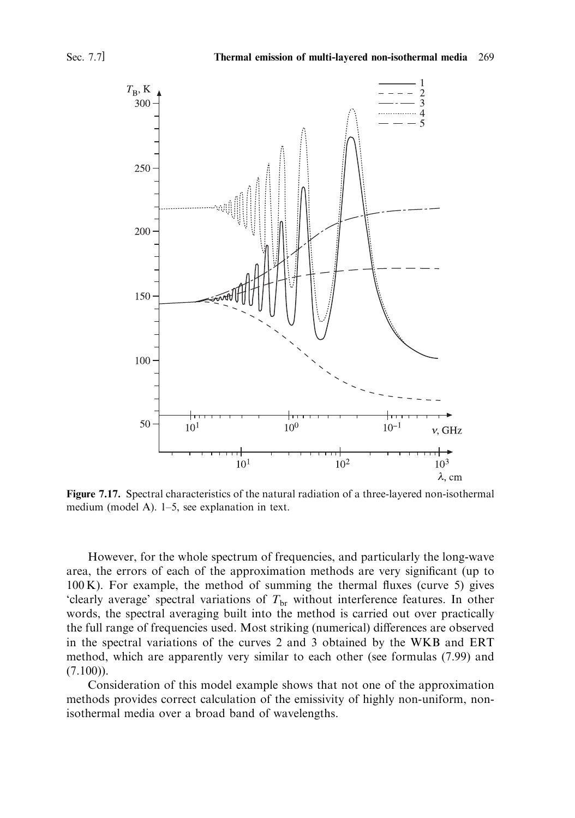

Figure 7.17. Spectral characteristics of the natural radiation of a three-layered non-isothermal medium (model A).  $1-5$ , see explanation in text.

However, for the whole spectrum of frequencies, and particularly the long-wave area, the errors of each of the approximation methods are very significant (up to 100 K). For example, the method of summing the thermal fluxes (curve 5) gives 'clearly average' spectral variations of  $T_{\rm br}$  without interference features. In other words, the spectral averaging built into the method is carried out over practically the full range of frequencies used. Most striking (numerical) differences are observed in the spectral variations of the curves 2 and 3 obtained by the WKB and ERT method, which are apparently very similar to each other (see formulas (7.99) and  $(7.100)$ ).

Consideration of this model example shows that not one of the approximation methods provides correct calculation of the emissivity of highly non-uniform, nonisothermal media over a broad band of wavelengths.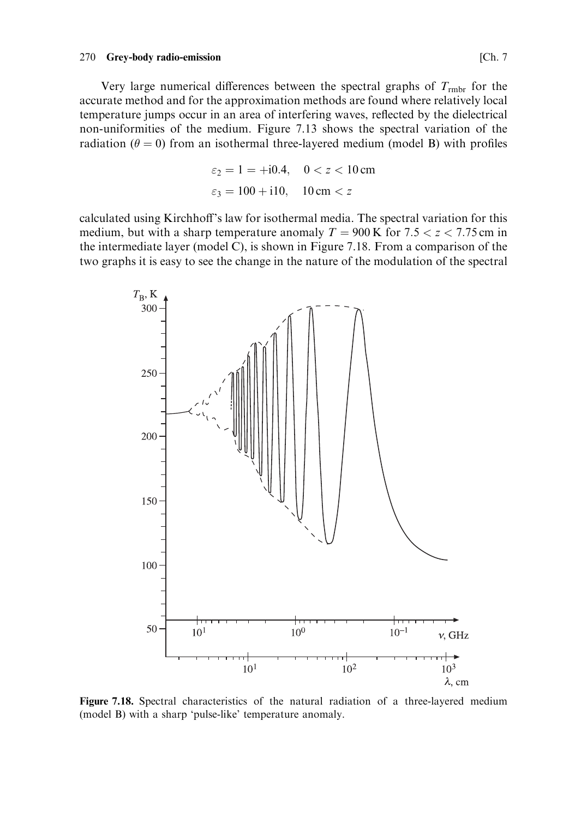#### 270 Grey-body radio-emission

Very large numerical differences between the spectral graphs of  $T_{\text{rm}}$  for the accurate method and for the approximation methods are found where relatively local temperature jumps occur in an area of interfering waves, reflected by the dielectrical non-uniformities of the medium. Figure 7.13 shows the spectral variation of the radiation ( $\theta = 0$ ) from an isothermal three-layered medium (model B) with profiles

$$
\varepsilon_2 = 1 = +i0.4, \quad 0 < z < 10 \,\text{cm}
$$
\n
$$
\varepsilon_3 = 100 + i10, \quad 10 \,\text{cm} < z
$$

calculated using Kirchhoff's law for isothermal media. The spectral variation for this medium, but with a sharp temperature anomaly  $T = 900 \text{ K}$  for 7.5  $\lt z \lt 7.75 \text{ cm}$  in the intermediate layer (model C), is shown in Figure 7.18. From a comparison of the two graphs it is easy to see the change in the nature of the modulation of the spectral



Figure 7.18. Spectral characteristics of the natural radiation of a three-layered medium (model B) with a sharp 'pulse-like' temperature anomaly.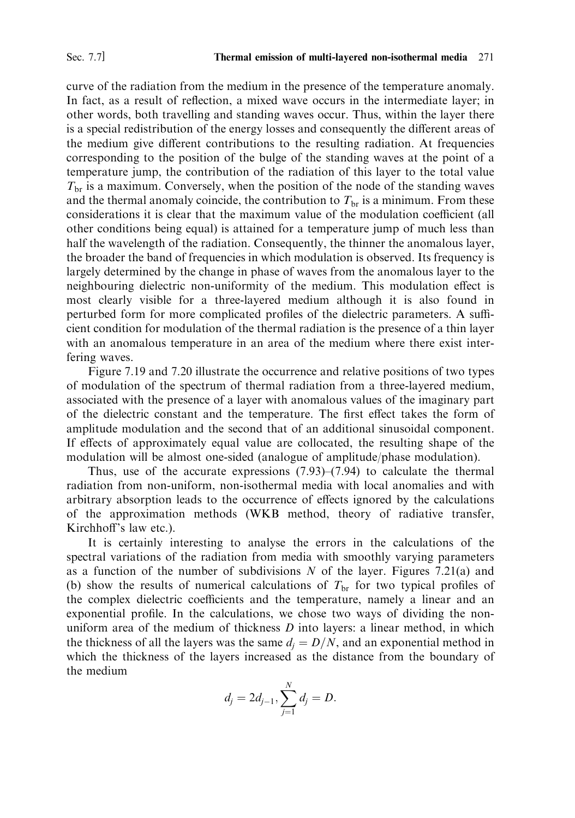curve of the radiation from the medium in the presence of the temperature anomaly. In fact, as a result of reflection, a mixed wave occurs in the intermediate layer; in other words, both travelling and standing waves occur. Thus, within the layer there is a special redistribution of the energy losses and consequently the different areas of the medium give different contributions to the resulting radiation. At frequencies corresponding to the position of the bulge of the standing waves at the point of a temperature jump, the contribution of the radiation of this layer to the total value  $T<sub>br</sub>$  is a maximum. Conversely, when the position of the node of the standing waves and the thermal anomaly coincide, the contribution to  $T_{\text{br}}$  is a minimum. From these considerations it is clear that the maximum value of the modulation coefficient (all other conditions being equal) is attained for a temperature jump of much less than half the wavelength of the radiation. Consequently, the thinner the anomalous layer, the broader the band of frequencies in which modulation is observed. Its frequency is largely determined by the change in phase of waves from the anomalous layer to the neighbouring dielectric non-uniformity of the medium. This modulation effect is most clearly visible for a three-layered medium although it is also found in perturbed form for more complicated profiles of the dielectric parameters. A sufficient condition for modulation of the thermal radiation is the presence of a thin layer with an anomalous temperature in an area of the medium where there exist interfering waves.

Figure 7.19 and 7.20 illustrate the occurrence and relative positions of two types of modulation of the spectrum of thermal radiation from a three-layered medium, associated with the presence of a layer with anomalous values of the imaginary part of the dielectric constant and the temperature. The first effect takes the form of amplitude modulation and the second that of an additional sinusoidal component. If effects of approximately equal value are collocated, the resulting shape of the modulation will be almost one-sided (analogue of amplitude/phase modulation).

Thus, use of the accurate expressions  $(7.93)$ – $(7.94)$  to calculate the thermal radiation from non-uniform, non-isothermal media with local anomalies and with arbitrary absorption leads to the occurrence of effects ignored by the calculations of the approximation methods (WKB method, theory of radiative transfer, Kirchhoff's law etc.).

It is certainly interesting to analyse the errors in the calculations of the spectral variations of the radiation from media with smoothly varying parameters as a function of the number of subdivisions  $N$  of the layer. Figures 7.21(a) and (b) show the results of numerical calculations of  $T<sub>br</sub>$  for two typical profiles of the complex dielectric coefficients and the temperature, namely a linear and an exponential profile. In the calculations, we chose two ways of dividing the nonuniform area of the medium of thickness  $D$  into layers: a linear method, in which the thickness of all the layers was the same  $d_i = D/N$ , and an exponential method in which the thickness of the layers increased as the distance from the boundary of the medium

$$
d_j = 2d_{j-1}, \sum_{j=1}^N d_j = D.
$$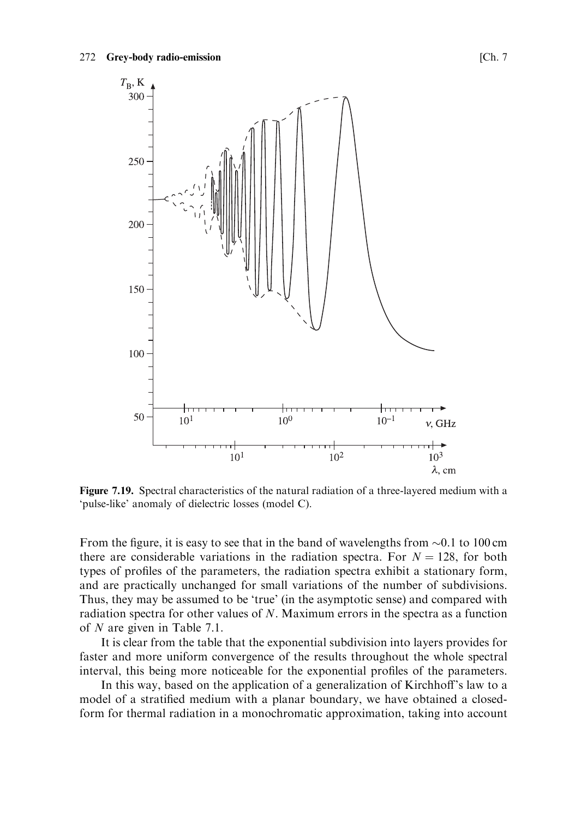

Figure 7.19. Spectral characteristics of the natural radiation of a three-layered medium with a 'pulse-like' anomaly of dielectric losses (model C).

From the figure, it is easy to see that in the band of wavelengths from  $\sim 0.1$  to 100 cm there are considerable variations in the radiation spectra. For  $N = 128$ , for both types of profiles of the parameters, the radiation spectra exhibit a stationary form, and are practically unchanged for small variations of the number of subdivisions. Thus, they may be assumed to be 'true' (in the asymptotic sense) and compared with radiation spectra for other values of  $N$ . Maximum errors in the spectra as a function of  $N$  are given in Table 7.1.

It is clear from the table that the exponential subdivision into layers provides for faster and more uniform convergence of the results throughout the whole spectral interval, this being more noticeable for the exponential profiles of the parameters.

In this way, based on the application of a generalization of Kirchhoff's law to a model of a stratified medium with a planar boundary, we have obtained a closedform for thermal radiation in a monochromatic approximation, taking into account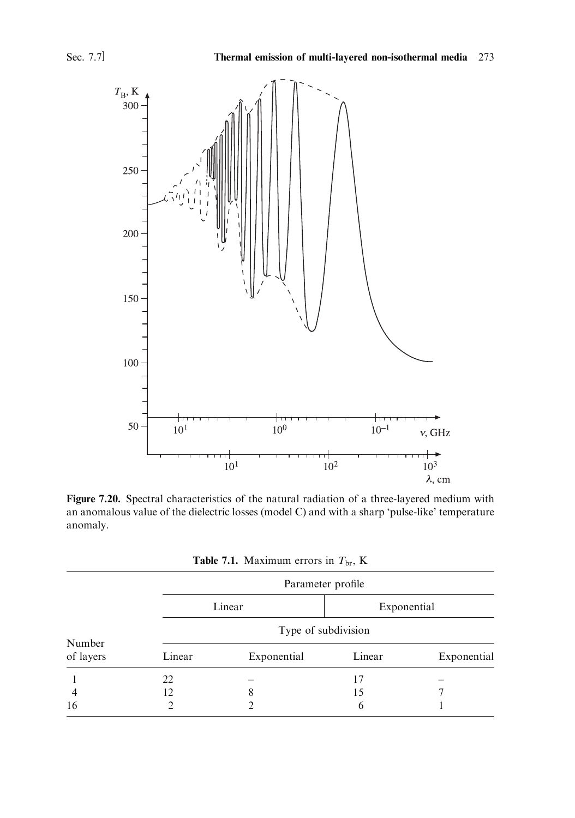

Figure 7.20. Spectral characteristics of the natural radiation of a three-layered medium with an anomalous value of the dielectric losses (model C) and with a sharp 'pulse-like' temperature anomaly.

| <b>Table 7.1.</b> Maximum errors in $T_{\text{br}}$ , K |  |
|---------------------------------------------------------|--|
|                                                         |  |

| Number<br>of layers | Parameter profile   |                          |             |                          |  |  |
|---------------------|---------------------|--------------------------|-------------|--------------------------|--|--|
|                     | Linear              |                          | Exponential |                          |  |  |
|                     | Type of subdivision |                          |             |                          |  |  |
|                     | Linear              | Exponential              | Linear      | Exponential              |  |  |
|                     | 22                  | $\overline{\phantom{a}}$ | 17          | $\overline{\phantom{a}}$ |  |  |
| 4                   | 12                  | 8                        | 15          |                          |  |  |
| 16                  |                     |                          | 6           |                          |  |  |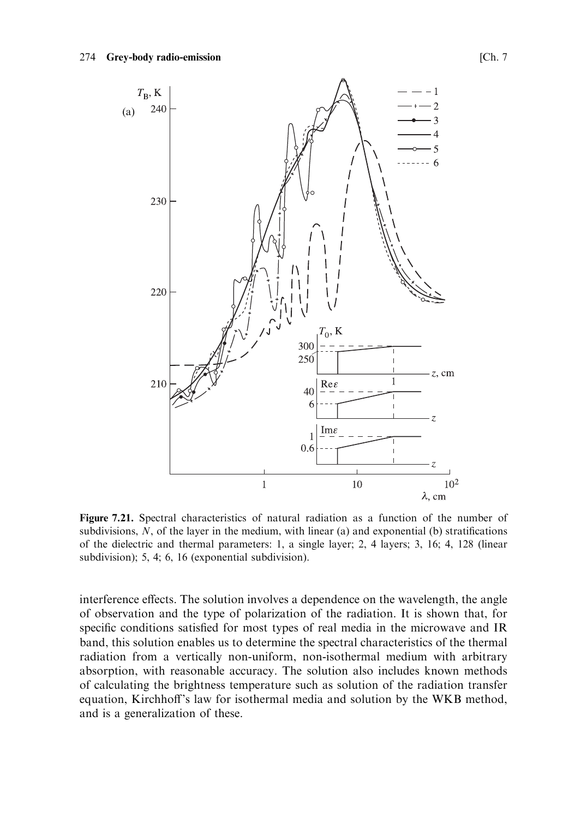

Figure 7.21. Spectral characteristics of natural radiation as a function of the number of subdivisions,  $N$ , of the layer in the medium, with linear (a) and exponential (b) stratifications of the dielectric and thermal parameters: 1, a single layer; 2, 4 layers; 3, 16; 4, 128 (linear subdivision); 5, 4; 6, 16 (exponential subdivision).

interference effects. The solution involves a dependence on the wavelength, the angle of observation and the type of polarization of the radiation. It is shown that, for specific conditions satisfied for most types of real media in the microwave and IR band, this solution enables us to determine the spectral characteristics of the thermal radiation from a vertically non-uniform, non-isothermal medium with arbitrary absorption, with reasonable accuracy. The solution also includes known methods of calculating the brightness temperature such as solution of the radiation transfer equation, Kirchhoff's law for isothermal media and solution by the WKB method, and is a generalization of these.